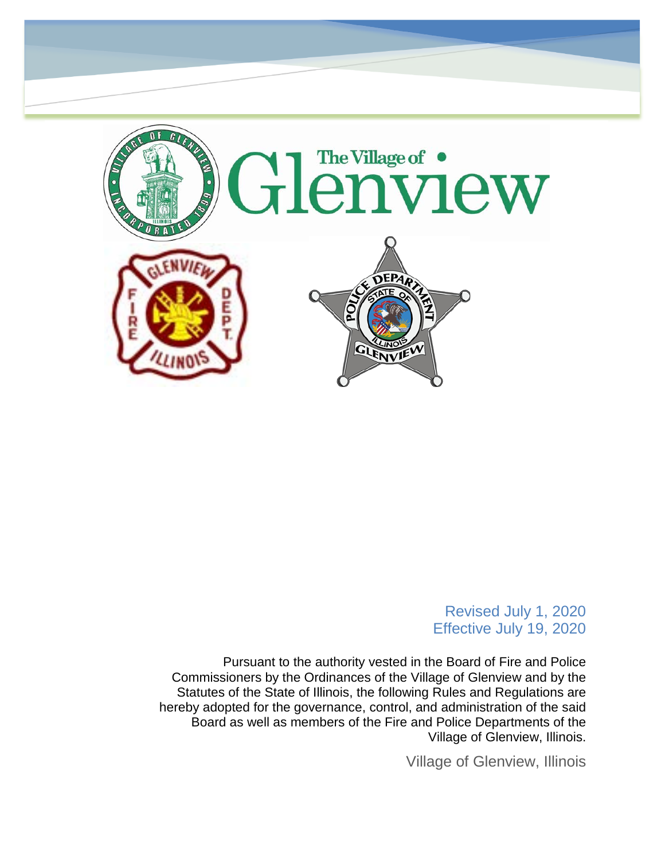

#### Revised July 1, 2020 Effective July 19, 2020

Pursuant to the authority vested in the Board of Fire and Police Commissioners by the Ordinances of the Village of Glenview and by the Statutes of the State of Illinois, the following Rules and Regulations are hereby adopted for the governance, control, and administration of the said Board as well as members of the Fire and Police Departments of the Village of Glenview, Illinois.

Village of Glenview, Illinois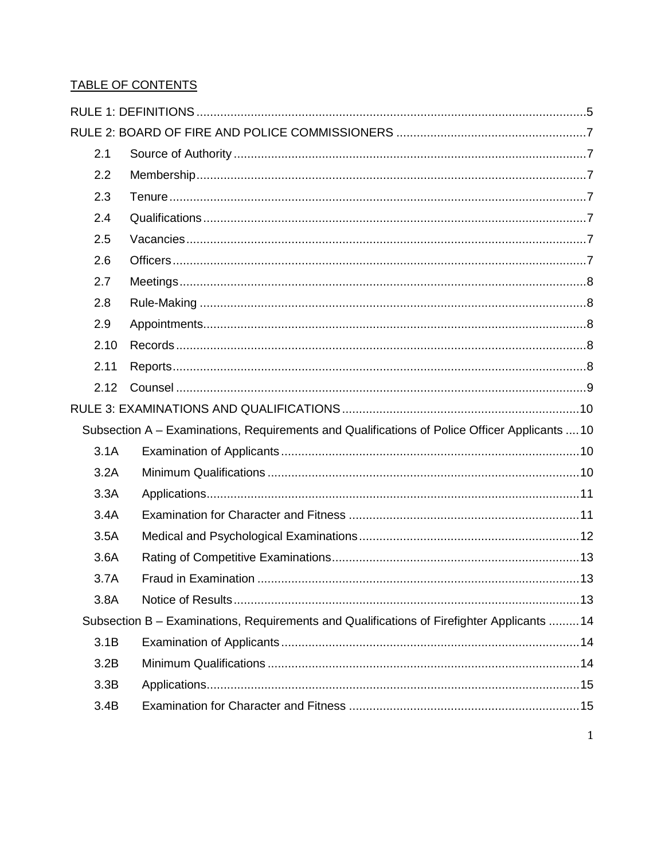#### TABLE OF CONTENTS

| 2.1  |                                                                                               |  |
|------|-----------------------------------------------------------------------------------------------|--|
| 2.2  |                                                                                               |  |
| 2.3  |                                                                                               |  |
| 2.4  |                                                                                               |  |
| 2.5  |                                                                                               |  |
| 2.6  |                                                                                               |  |
| 2.7  |                                                                                               |  |
| 2.8  |                                                                                               |  |
| 2.9  |                                                                                               |  |
| 2.10 |                                                                                               |  |
| 2.11 |                                                                                               |  |
| 2.12 |                                                                                               |  |
|      |                                                                                               |  |
|      | Subsection A – Examinations, Requirements and Qualifications of Police Officer Applicants  10 |  |
| 3.1A |                                                                                               |  |
| 3.2A |                                                                                               |  |
| 3.3A |                                                                                               |  |
| 3.4A |                                                                                               |  |
| 3.5A |                                                                                               |  |
| 3.6A |                                                                                               |  |
| 3.7A |                                                                                               |  |
| 3.8A |                                                                                               |  |
|      | Subsection B - Examinations, Requirements and Qualifications of Firefighter Applicants  14    |  |
| 3.1B |                                                                                               |  |
| 3.2B |                                                                                               |  |
| 3.3B |                                                                                               |  |
| 3.4B |                                                                                               |  |
|      |                                                                                               |  |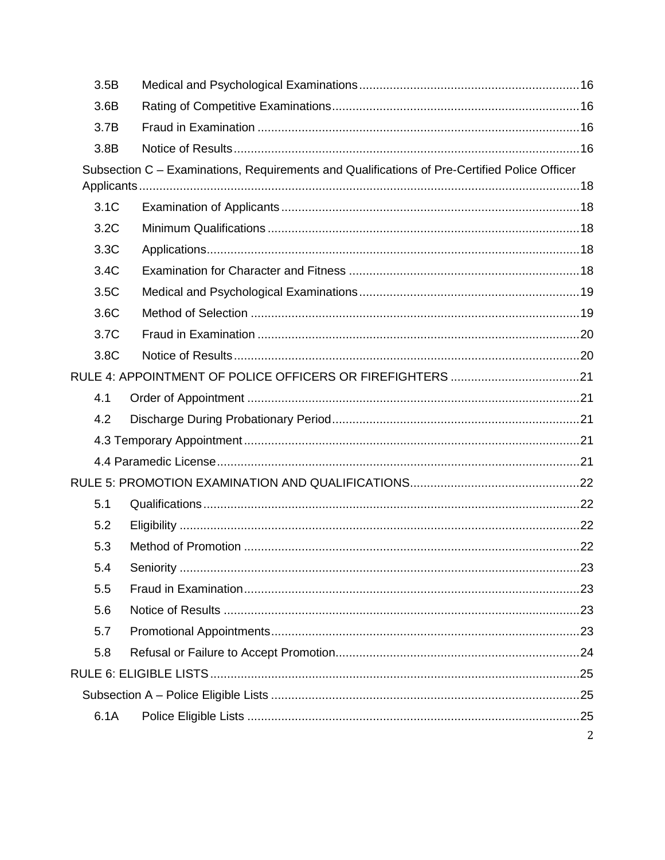| 3.5B |                                                                                              |   |  |
|------|----------------------------------------------------------------------------------------------|---|--|
| 3.6B |                                                                                              |   |  |
| 3.7B |                                                                                              |   |  |
| 3.8B |                                                                                              |   |  |
|      | Subsection C - Examinations, Requirements and Qualifications of Pre-Certified Police Officer |   |  |
|      |                                                                                              |   |  |
| 3.1C |                                                                                              |   |  |
| 3.2C |                                                                                              |   |  |
| 3.3C |                                                                                              |   |  |
| 3.4C |                                                                                              |   |  |
| 3.5C |                                                                                              |   |  |
| 3.6C |                                                                                              |   |  |
| 3.7C |                                                                                              |   |  |
| 3.8C |                                                                                              |   |  |
|      |                                                                                              |   |  |
| 4.1  |                                                                                              |   |  |
| 4.2  |                                                                                              |   |  |
|      |                                                                                              |   |  |
|      |                                                                                              |   |  |
|      |                                                                                              |   |  |
| 5.1  |                                                                                              |   |  |
| 5.2  |                                                                                              |   |  |
| 5.3  |                                                                                              |   |  |
| 5.4  |                                                                                              |   |  |
| 5.5  |                                                                                              |   |  |
| 5.6  |                                                                                              |   |  |
| 5.7  |                                                                                              |   |  |
| 5.8  |                                                                                              |   |  |
|      |                                                                                              |   |  |
|      |                                                                                              |   |  |
| 6.1A |                                                                                              |   |  |
|      |                                                                                              | 2 |  |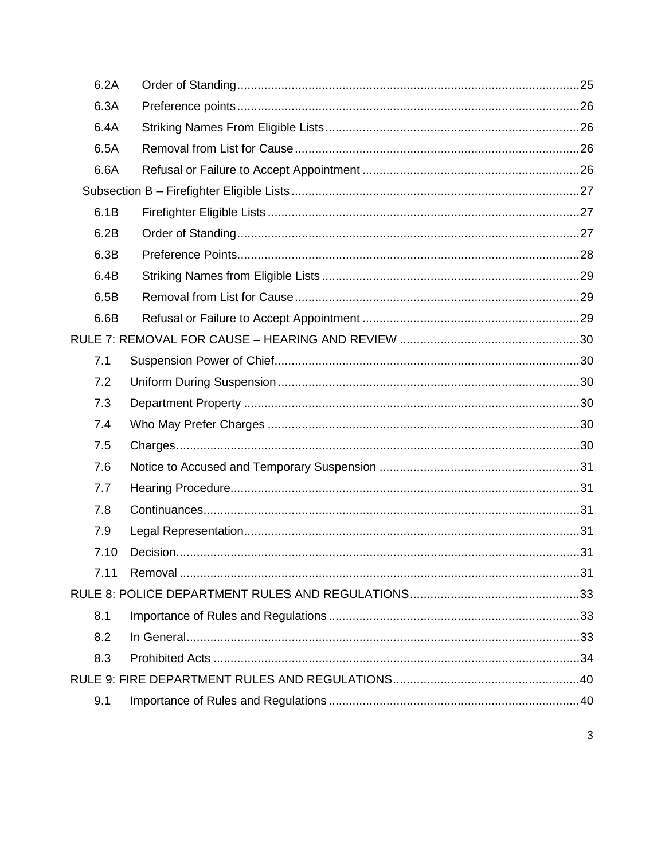| 6.2A |  |  |
|------|--|--|
| 6.3A |  |  |
| 6.4A |  |  |
| 6.5A |  |  |
| 6.6A |  |  |
|      |  |  |
| 6.1B |  |  |
| 6.2B |  |  |
| 6.3B |  |  |
| 6.4B |  |  |
| 6.5B |  |  |
| 6.6B |  |  |
|      |  |  |
| 7.1  |  |  |
| 7.2  |  |  |
| 7.3  |  |  |
| 7.4  |  |  |
| 7.5  |  |  |
| 7.6  |  |  |
| 7.7  |  |  |
| 7.8  |  |  |
| 7.9  |  |  |
| 7.10 |  |  |
| 7.11 |  |  |
|      |  |  |
| 8.1  |  |  |
| 8.2  |  |  |
| 8.3  |  |  |
|      |  |  |
| 9.1  |  |  |
|      |  |  |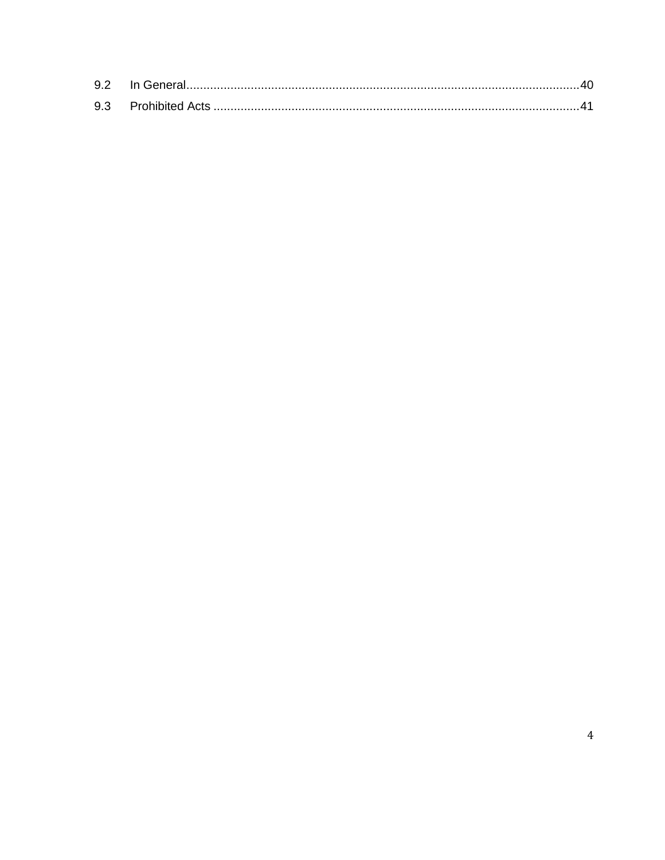| 9.3 |  |
|-----|--|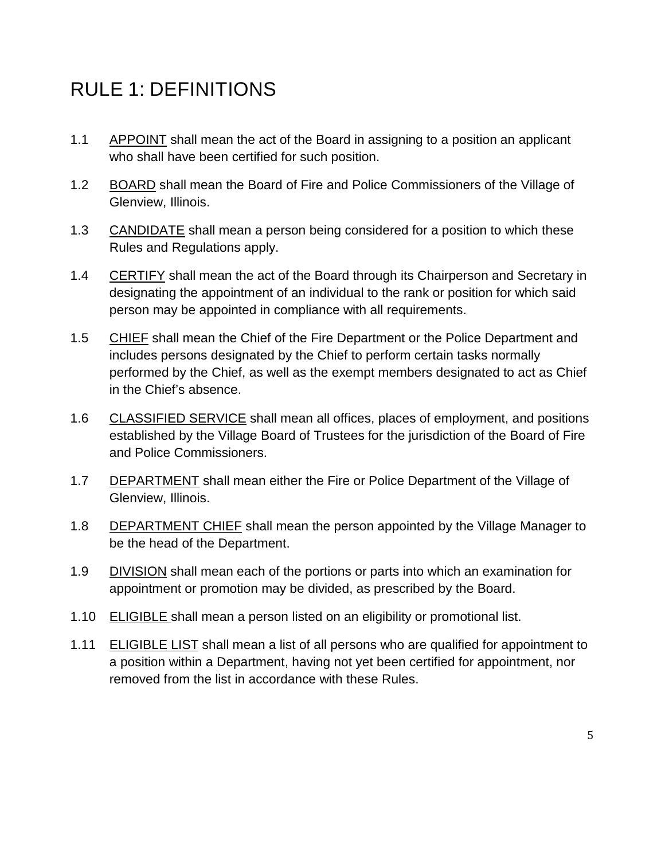# <span id="page-5-0"></span>RULE 1: DEFINITIONS

- 1.1 APPOINT shall mean the act of the Board in assigning to a position an applicant who shall have been certified for such position.
- 1.2 BOARD shall mean the Board of Fire and Police Commissioners of the Village of Glenview, Illinois.
- 1.3 CANDIDATE shall mean a person being considered for a position to which these Rules and Regulations apply.
- 1.4 CERTIFY shall mean the act of the Board through its Chairperson and Secretary in designating the appointment of an individual to the rank or position for which said person may be appointed in compliance with all requirements.
- 1.5 CHIEF shall mean the Chief of the Fire Department or the Police Department and includes persons designated by the Chief to perform certain tasks normally performed by the Chief, as well as the exempt members designated to act as Chief in the Chief's absence.
- 1.6 CLASSIFIED SERVICE shall mean all offices, places of employment, and positions established by the Village Board of Trustees for the jurisdiction of the Board of Fire and Police Commissioners.
- 1.7 DEPARTMENT shall mean either the Fire or Police Department of the Village of Glenview, Illinois.
- 1.8 DEPARTMENT CHIEF shall mean the person appointed by the Village Manager to be the head of the Department.
- 1.9 DIVISION shall mean each of the portions or parts into which an examination for appointment or promotion may be divided, as prescribed by the Board.
- 1.10 ELIGIBLE shall mean a person listed on an eligibility or promotional list.
- 1.11 ELIGIBLE LIST shall mean a list of all persons who are qualified for appointment to a position within a Department, having not yet been certified for appointment, nor removed from the list in accordance with these Rules.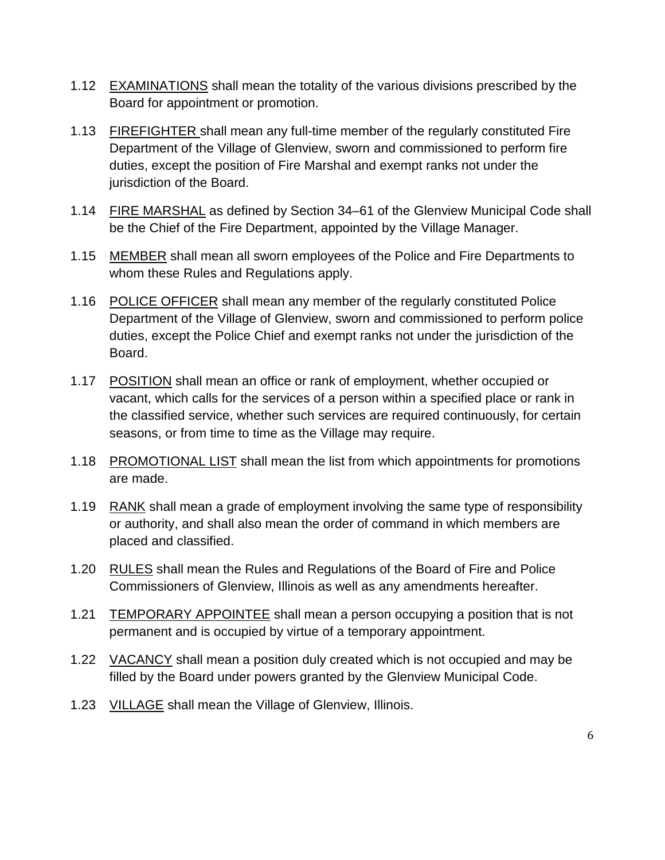- 1.12 EXAMINATIONS shall mean the totality of the various divisions prescribed by the Board for appointment or promotion.
- 1.13 FIREFIGHTER shall mean any full-time member of the regularly constituted Fire Department of the Village of Glenview, sworn and commissioned to perform fire duties, except the position of Fire Marshal and exempt ranks not under the jurisdiction of the Board.
- 1.14 FIRE MARSHAL as defined by Section 34–61 of the Glenview Municipal Code shall be the Chief of the Fire Department, appointed by the Village Manager.
- 1.15 MEMBER shall mean all sworn employees of the Police and Fire Departments to whom these Rules and Regulations apply.
- 1.16 POLICE OFFICER shall mean any member of the regularly constituted Police Department of the Village of Glenview, sworn and commissioned to perform police duties, except the Police Chief and exempt ranks not under the jurisdiction of the Board.
- 1.17 POSITION shall mean an office or rank of employment, whether occupied or vacant, which calls for the services of a person within a specified place or rank in the classified service, whether such services are required continuously, for certain seasons, or from time to time as the Village may require.
- 1.18 PROMOTIONAL LIST shall mean the list from which appointments for promotions are made.
- 1.19 RANK shall mean a grade of employment involving the same type of responsibility or authority, and shall also mean the order of command in which members are placed and classified.
- 1.20 RULES shall mean the Rules and Regulations of the Board of Fire and Police Commissioners of Glenview, Illinois as well as any amendments hereafter.
- 1.21 TEMPORARY APPOINTEE shall mean a person occupying a position that is not permanent and is occupied by virtue of a temporary appointment.
- 1.22 VACANCY shall mean a position duly created which is not occupied and may be filled by the Board under powers granted by the Glenview Municipal Code.
- 1.23 VILLAGE shall mean the Village of Glenview, Illinois.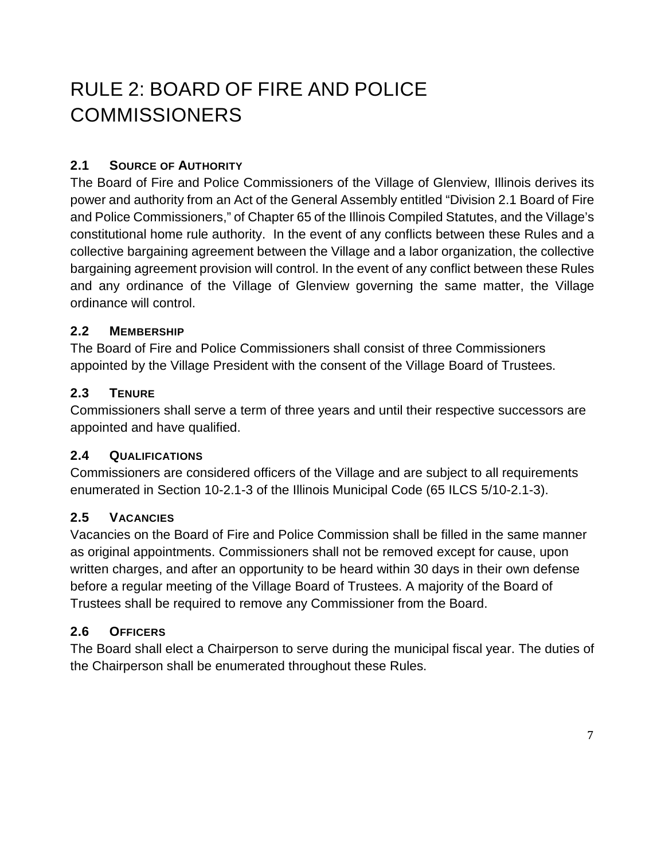# <span id="page-7-0"></span>RULE 2: BOARD OF FIRE AND POLICE COMMISSIONERS

### <span id="page-7-1"></span>**2.1 SOURCE OF AUTHORITY**

The Board of Fire and Police Commissioners of the Village of Glenview, Illinois derives its power and authority from an Act of the General Assembly entitled "Division 2.1 Board of Fire and Police Commissioners," of Chapter 65 of the Illinois Compiled Statutes, and the Village's constitutional home rule authority. In the event of any conflicts between these Rules and a collective bargaining agreement between the Village and a labor organization, the collective bargaining agreement provision will control. In the event of any conflict between these Rules and any ordinance of the Village of Glenview governing the same matter, the Village ordinance will control.

#### <span id="page-7-2"></span>**2.2 MEMBERSHIP**

The Board of Fire and Police Commissioners shall consist of three Commissioners appointed by the Village President with the consent of the Village Board of Trustees.

#### <span id="page-7-3"></span>**2.3 TENURE**

Commissioners shall serve a term of three years and until their respective successors are appointed and have qualified.

#### <span id="page-7-4"></span>**2.4 QUALIFICATIONS**

Commissioners are considered officers of the Village and are subject to all requirements enumerated in Section 10-2.1-3 of the Illinois Municipal Code (65 ILCS 5/10-2.1-3).

#### <span id="page-7-5"></span>**2.5 VACANCIES**

Vacancies on the Board of Fire and Police Commission shall be filled in the same manner as original appointments. Commissioners shall not be removed except for cause, upon written charges, and after an opportunity to be heard within 30 days in their own defense before a regular meeting of the Village Board of Trustees. A majority of the Board of Trustees shall be required to remove any Commissioner from the Board.

#### <span id="page-7-6"></span>**2.6 OFFICERS**

The Board shall elect a Chairperson to serve during the municipal fiscal year. The duties of the Chairperson shall be enumerated throughout these Rules.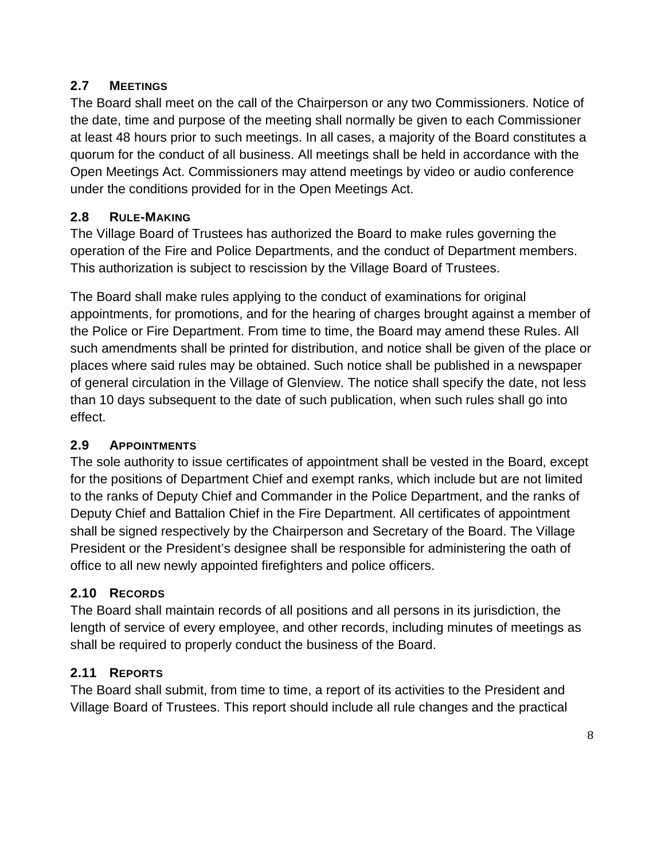# <span id="page-8-0"></span>**2.7 MEETINGS**

The Board shall meet on the call of the Chairperson or any two Commissioners. Notice of the date, time and purpose of the meeting shall normally be given to each Commissioner at least 48 hours prior to such meetings. In all cases, a majority of the Board constitutes a quorum for the conduct of all business. All meetings shall be held in accordance with the Open Meetings Act. Commissioners may attend meetings by video or audio conference under the conditions provided for in the Open Meetings Act.

# <span id="page-8-1"></span>**2.8 RULE-MAKING**

The Village Board of Trustees has authorized the Board to make rules governing the operation of the Fire and Police Departments, and the conduct of Department members. This authorization is subject to rescission by the Village Board of Trustees.

The Board shall make rules applying to the conduct of examinations for original appointments, for promotions, and for the hearing of charges brought against a member of the Police or Fire Department. From time to time, the Board may amend these Rules. All such amendments shall be printed for distribution, and notice shall be given of the place or places where said rules may be obtained. Such notice shall be published in a newspaper of general circulation in the Village of Glenview. The notice shall specify the date, not less than 10 days subsequent to the date of such publication, when such rules shall go into effect.

### <span id="page-8-2"></span>**2.9 APPOINTMENTS**

The sole authority to issue certificates of appointment shall be vested in the Board, except for the positions of Department Chief and exempt ranks, which include but are not limited to the ranks of Deputy Chief and Commander in the Police Department, and the ranks of Deputy Chief and Battalion Chief in the Fire Department. All certificates of appointment shall be signed respectively by the Chairperson and Secretary of the Board. The Village President or the President's designee shall be responsible for administering the oath of office to all new newly appointed firefighters and police officers.

# <span id="page-8-3"></span>**2.10 RECORDS**

The Board shall maintain records of all positions and all persons in its jurisdiction, the length of service of every employee, and other records, including minutes of meetings as shall be required to properly conduct the business of the Board.

# <span id="page-8-4"></span>**2.11 REPORTS**

The Board shall submit, from time to time, a report of its activities to the President and Village Board of Trustees. This report should include all rule changes and the practical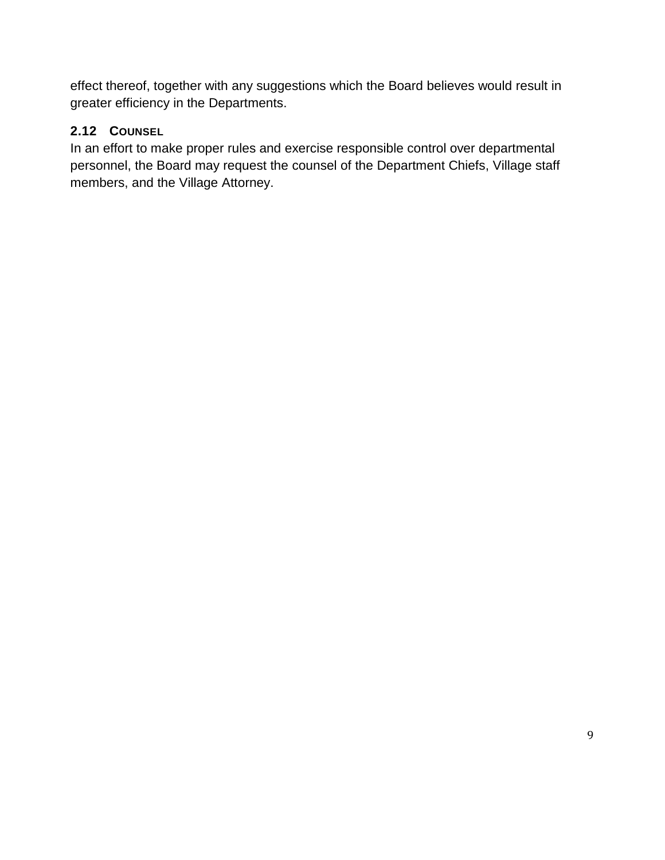effect thereof, together with any suggestions which the Board believes would result in greater efficiency in the Departments.

# <span id="page-9-0"></span>**2.12 COUNSEL**

In an effort to make proper rules and exercise responsible control over departmental personnel, the Board may request the counsel of the Department Chiefs, Village staff members, and the Village Attorney.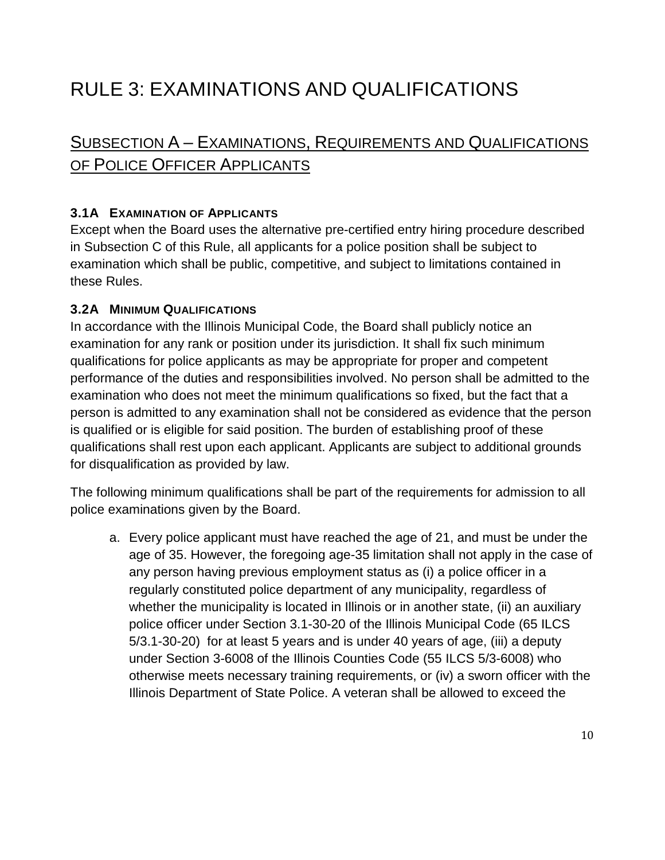# <span id="page-10-0"></span>RULE 3: EXAMINATIONS AND QUALIFICATIONS

# <span id="page-10-1"></span>SUBSECTION A – EXAMINATIONS, REQUIREMENTS AND QUALIFICATIONS OF POLICE OFFICER APPLICANTS

#### <span id="page-10-2"></span>**3.1A EXAMINATION OF APPLICANTS**

Except when the Board uses the alternative pre-certified entry hiring procedure described in Subsection C of this Rule, all applicants for a police position shall be subject to examination which shall be public, competitive, and subject to limitations contained in these Rules.

#### <span id="page-10-3"></span>**3.2A MINIMUM QUALIFICATIONS**

In accordance with the Illinois Municipal Code, the Board shall publicly notice an examination for any rank or position under its jurisdiction. It shall fix such minimum qualifications for police applicants as may be appropriate for proper and competent performance of the duties and responsibilities involved. No person shall be admitted to the examination who does not meet the minimum qualifications so fixed, but the fact that a person is admitted to any examination shall not be considered as evidence that the person is qualified or is eligible for said position. The burden of establishing proof of these qualifications shall rest upon each applicant. Applicants are subject to additional grounds for disqualification as provided by law.

The following minimum qualifications shall be part of the requirements for admission to all police examinations given by the Board.

a. Every police applicant must have reached the age of 21, and must be under the age of 35. However, the foregoing age-35 limitation shall not apply in the case of any person having previous employment status as (i) a police officer in a regularly constituted police department of any municipality, regardless of whether the municipality is located in Illinois or in another state, (ii) an auxiliary police officer under Section 3.1-30-20 of the Illinois Municipal Code (65 ILCS 5/3.1-30-20) for at least 5 years and is under 40 years of age, (iii) a deputy under Section 3-6008 of the Illinois Counties Code (55 ILCS 5/3-6008) who otherwise meets necessary training requirements, or (iv) a sworn officer with the Illinois Department of State Police. A veteran shall be allowed to exceed the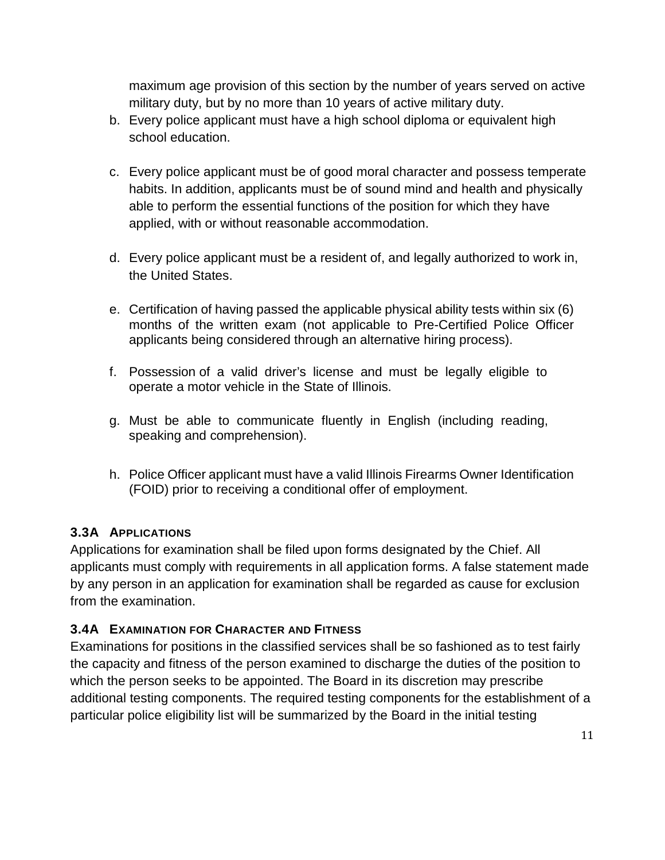maximum age provision of this section by the number of years served on active military duty, but by no more than 10 years of active military duty.

- b. Every police applicant must have a high school diploma or equivalent high school education.
- c. Every police applicant must be of good moral character and possess temperate habits. In addition, applicants must be of sound mind and health and physically able to perform the essential functions of the position for which they have applied, with or without reasonable accommodation.
- d. Every police applicant must be a resident of, and legally authorized to work in, the United States.
- e. Certification of having passed the applicable physical ability tests within six (6) months of the written exam (not applicable to Pre-Certified Police Officer applicants being considered through an alternative hiring process).
- f. Possession of a valid driver's license and must be legally eligible to operate a motor vehicle in the State of Illinois.
- g. Must be able to communicate fluently in English (including reading, speaking and comprehension).
- h. Police Officer applicant must have a valid Illinois Firearms Owner Identification (FOID) prior to receiving a conditional offer of employment.

### <span id="page-11-0"></span>**3.3A APPLICATIONS**

Applications for examination shall be filed upon forms designated by the Chief. All applicants must comply with requirements in all application forms. A false statement made by any person in an application for examination shall be regarded as cause for exclusion from the examination.

### <span id="page-11-1"></span>**3.4A EXAMINATION FOR CHARACTER AND FITNESS**

Examinations for positions in the classified services shall be so fashioned as to test fairly the capacity and fitness of the person examined to discharge the duties of the position to which the person seeks to be appointed. The Board in its discretion may prescribe additional testing components. The required testing components for the establishment of a particular police eligibility list will be summarized by the Board in the initial testing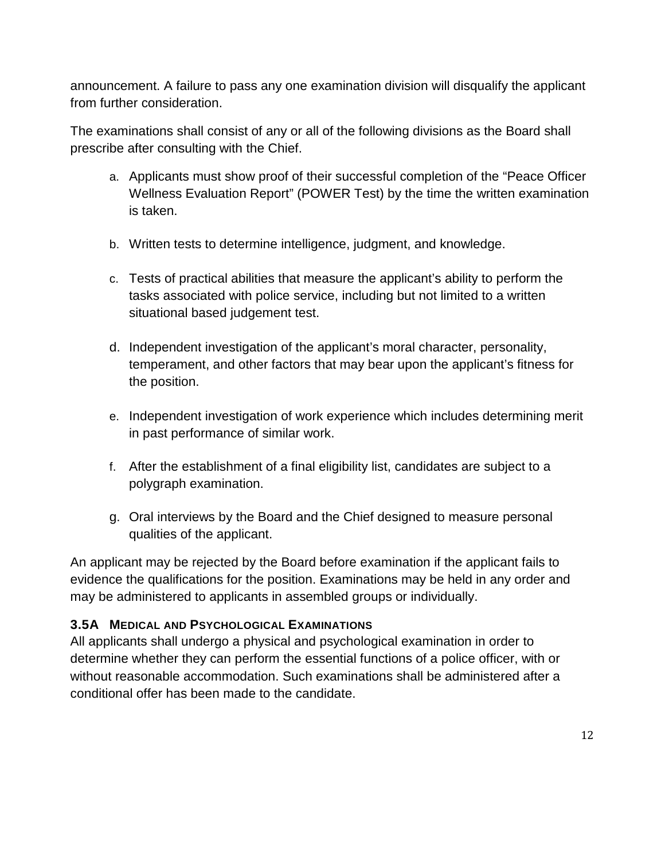announcement. A failure to pass any one examination division will disqualify the applicant from further consideration.

The examinations shall consist of any or all of the following divisions as the Board shall prescribe after consulting with the Chief.

- a. Applicants must show proof of their successful completion of the "Peace Officer Wellness Evaluation Report" (POWER Test) by the time the written examination is taken.
- b. Written tests to determine intelligence, judgment, and knowledge.
- c. Tests of practical abilities that measure the applicant's ability to perform the tasks associated with police service, including but not limited to a written situational based judgement test.
- d. Independent investigation of the applicant's moral character, personality, temperament, and other factors that may bear upon the applicant's fitness for the position.
- e. Independent investigation of work experience which includes determining merit in past performance of similar work.
- f. After the establishment of a final eligibility list, candidates are subject to a polygraph examination.
- g. Oral interviews by the Board and the Chief designed to measure personal qualities of the applicant.

An applicant may be rejected by the Board before examination if the applicant fails to evidence the qualifications for the position. Examinations may be held in any order and may be administered to applicants in assembled groups or individually.

### <span id="page-12-0"></span>**3.5A MEDICAL AND PSYCHOLOGICAL EXAMINATIONS**

All applicants shall undergo a physical and psychological examination in order to determine whether they can perform the essential functions of a police officer, with or without reasonable accommodation. Such examinations shall be administered after a conditional offer has been made to the candidate.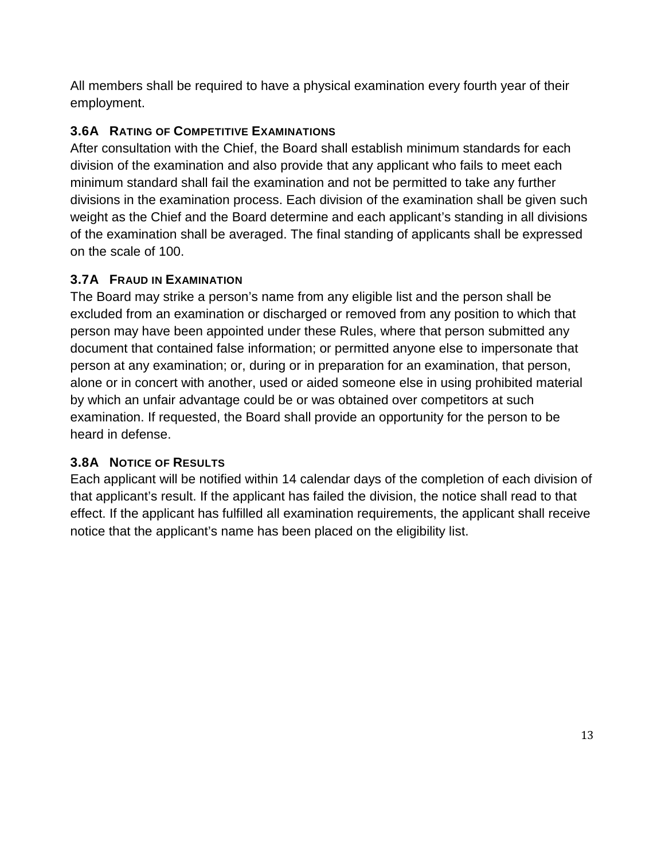All members shall be required to have a physical examination every fourth year of their employment.

### <span id="page-13-0"></span>**3.6A RATING OF COMPETITIVE EXAMINATIONS**

After consultation with the Chief, the Board shall establish minimum standards for each division of the examination and also provide that any applicant who fails to meet each minimum standard shall fail the examination and not be permitted to take any further divisions in the examination process. Each division of the examination shall be given such weight as the Chief and the Board determine and each applicant's standing in all divisions of the examination shall be averaged. The final standing of applicants shall be expressed on the scale of 100.

### <span id="page-13-1"></span>**3.7A FRAUD IN EXAMINATION**

The Board may strike a person's name from any eligible list and the person shall be excluded from an examination or discharged or removed from any position to which that person may have been appointed under these Rules, where that person submitted any document that contained false information; or permitted anyone else to impersonate that person at any examination; or, during or in preparation for an examination, that person, alone or in concert with another, used or aided someone else in using prohibited material by which an unfair advantage could be or was obtained over competitors at such examination. If requested, the Board shall provide an opportunity for the person to be heard in defense.

### <span id="page-13-2"></span>**3.8A NOTICE OF RESULTS**

Each applicant will be notified within 14 calendar days of the completion of each division of that applicant's result. If the applicant has failed the division, the notice shall read to that effect. If the applicant has fulfilled all examination requirements, the applicant shall receive notice that the applicant's name has been placed on the eligibility list.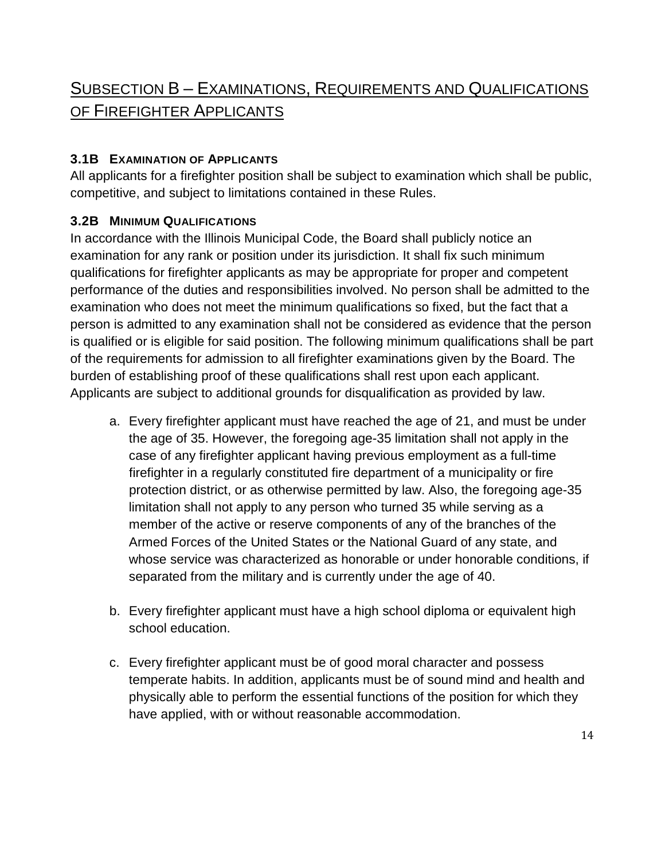# <span id="page-14-0"></span>SUBSECTION B – EXAMINATIONS, REQUIREMENTS AND QUALIFICATIONS OF FIREFIGHTER APPLICANTS

#### <span id="page-14-1"></span>**3.1B EXAMINATION OF APPLICANTS**

All applicants for a firefighter position shall be subject to examination which shall be public, competitive, and subject to limitations contained in these Rules.

#### <span id="page-14-2"></span>**3.2B MINIMUM QUALIFICATIONS**

In accordance with the Illinois Municipal Code, the Board shall publicly notice an examination for any rank or position under its jurisdiction. It shall fix such minimum qualifications for firefighter applicants as may be appropriate for proper and competent performance of the duties and responsibilities involved. No person shall be admitted to the examination who does not meet the minimum qualifications so fixed, but the fact that a person is admitted to any examination shall not be considered as evidence that the person is qualified or is eligible for said position. The following minimum qualifications shall be part of the requirements for admission to all firefighter examinations given by the Board. The burden of establishing proof of these qualifications shall rest upon each applicant. Applicants are subject to additional grounds for disqualification as provided by law.

- a. Every firefighter applicant must have reached the age of 21, and must be under the age of 35. However, the foregoing age-35 limitation shall not apply in the case of any firefighter applicant having previous employment as a full-time firefighter in a regularly constituted fire department of a municipality or fire protection district, or as otherwise permitted by law. Also, the foregoing age-35 limitation shall not apply to any person who turned 35 while serving as a member of the active or reserve components of any of the branches of the Armed Forces of the United States or the National Guard of any state, and whose service was characterized as honorable or under honorable conditions, if separated from the military and is currently under the age of 40.
- b. Every firefighter applicant must have a high school diploma or equivalent high school education.
- c. Every firefighter applicant must be of good moral character and possess temperate habits. In addition, applicants must be of sound mind and health and physically able to perform the essential functions of the position for which they have applied, with or without reasonable accommodation.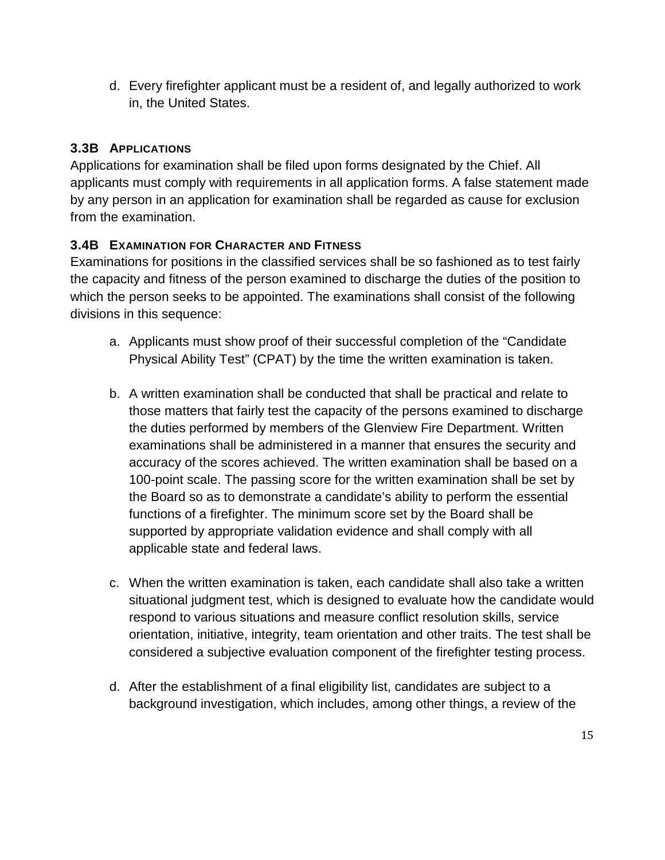d. Every firefighter applicant must be a resident of, and legally authorized to work in, the United States.

# <span id="page-15-0"></span>**3.3B APPLICATIONS**

Applications for examination shall be filed upon forms designated by the Chief. All applicants must comply with requirements in all application forms. A false statement made by any person in an application for examination shall be regarded as cause for exclusion from the examination.

# <span id="page-15-1"></span>**3.4B EXAMINATION FOR CHARACTER AND FITNESS**

Examinations for positions in the classified services shall be so fashioned as to test fairly the capacity and fitness of the person examined to discharge the duties of the position to which the person seeks to be appointed. The examinations shall consist of the following divisions in this sequence:

- a. Applicants must show proof of their successful completion of the "Candidate Physical Ability Test" (CPAT) by the time the written examination is taken.
- b. A written examination shall be conducted that shall be practical and relate to those matters that fairly test the capacity of the persons examined to discharge the duties performed by members of the Glenview Fire Department. Written examinations shall be administered in a manner that ensures the security and accuracy of the scores achieved. The written examination shall be based on a 100-point scale. The passing score for the written examination shall be set by the Board so as to demonstrate a candidate's ability to perform the essential functions of a firefighter. The minimum score set by the Board shall be supported by appropriate validation evidence and shall comply with all applicable state and federal laws.
- c. When the written examination is taken, each candidate shall also take a written situational judgment test, which is designed to evaluate how the candidate would respond to various situations and measure conflict resolution skills, service orientation, initiative, integrity, team orientation and other traits. The test shall be considered a subjective evaluation component of the firefighter testing process.
- d. After the establishment of a final eligibility list, candidates are subject to a background investigation, which includes, among other things, a review of the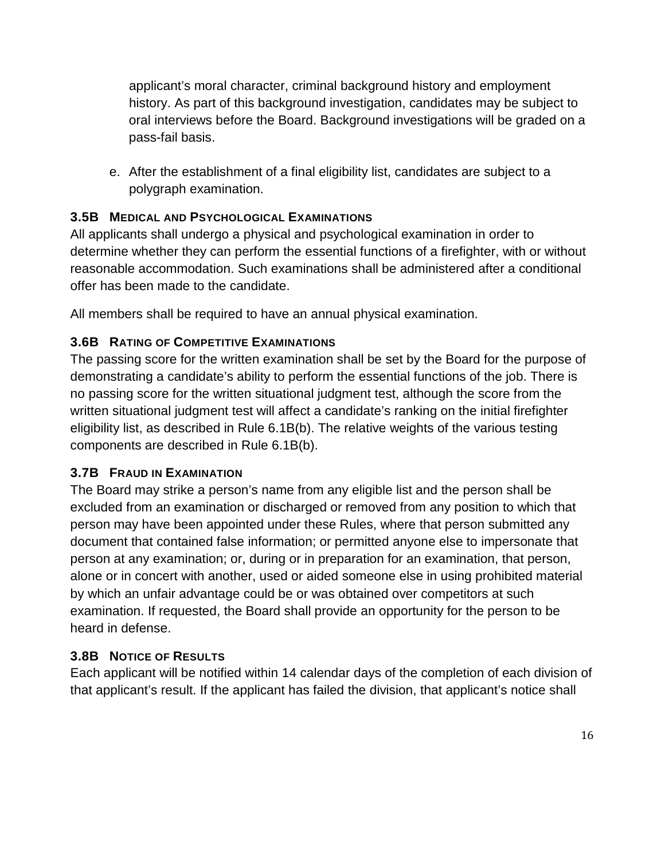applicant's moral character, criminal background history and employment history. As part of this background investigation, candidates may be subject to oral interviews before the Board. Background investigations will be graded on a pass-fail basis.

e. After the establishment of a final eligibility list, candidates are subject to a polygraph examination.

# <span id="page-16-0"></span>**3.5B MEDICAL AND PSYCHOLOGICAL EXAMINATIONS**

All applicants shall undergo a physical and psychological examination in order to determine whether they can perform the essential functions of a firefighter, with or without reasonable accommodation. Such examinations shall be administered after a conditional offer has been made to the candidate.

All members shall be required to have an annual physical examination.

# <span id="page-16-1"></span>**3.6B RATING OF COMPETITIVE EXAMINATIONS**

The passing score for the written examination shall be set by the Board for the purpose of demonstrating a candidate's ability to perform the essential functions of the job. There is no passing score for the written situational judgment test, although the score from the written situational judgment test will affect a candidate's ranking on the initial firefighter eligibility list, as described in Rule 6.1B(b). The relative weights of the various testing components are described in Rule 6.1B(b).

### <span id="page-16-2"></span>**3.7B FRAUD IN EXAMINATION**

The Board may strike a person's name from any eligible list and the person shall be excluded from an examination or discharged or removed from any position to which that person may have been appointed under these Rules, where that person submitted any document that contained false information; or permitted anyone else to impersonate that person at any examination; or, during or in preparation for an examination, that person, alone or in concert with another, used or aided someone else in using prohibited material by which an unfair advantage could be or was obtained over competitors at such examination. If requested, the Board shall provide an opportunity for the person to be heard in defense.

# <span id="page-16-3"></span>**3.8B NOTICE OF RESULTS**

Each applicant will be notified within 14 calendar days of the completion of each division of that applicant's result. If the applicant has failed the division, that applicant's notice shall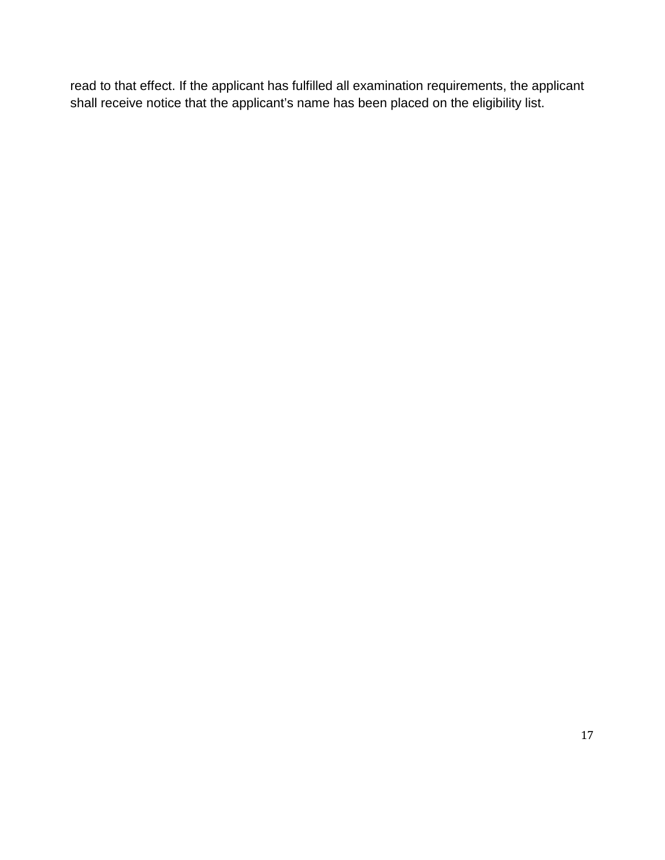read to that effect. If the applicant has fulfilled all examination requirements, the applicant shall receive notice that the applicant's name has been placed on the eligibility list.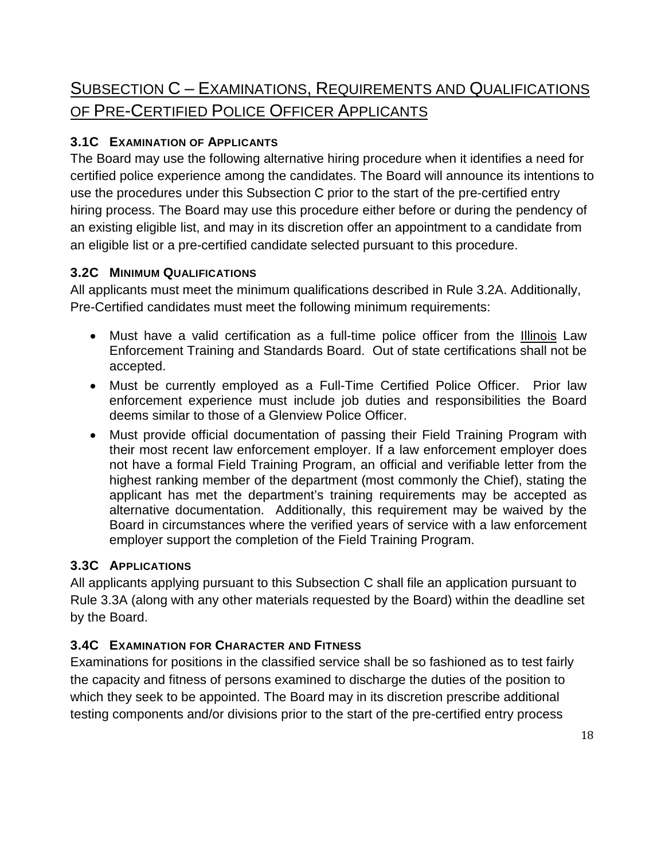# <span id="page-18-0"></span>SUBSECTION C – EXAMINATIONS, REQUIREMENTS AND QUALIFICATIONS OF PRE-CERTIFIED POLICE OFFICER APPLICANTS

# <span id="page-18-1"></span>**3.1C EXAMINATION OF APPLICANTS**

The Board may use the following alternative hiring procedure when it identifies a need for certified police experience among the candidates. The Board will announce its intentions to use the procedures under this Subsection C prior to the start of the pre-certified entry hiring process. The Board may use this procedure either before or during the pendency of an existing eligible list, and may in its discretion offer an appointment to a candidate from an eligible list or a pre-certified candidate selected pursuant to this procedure.

# <span id="page-18-2"></span>**3.2C MINIMUM QUALIFICATIONS**

All applicants must meet the minimum qualifications described in Rule 3.2A. Additionally, Pre-Certified candidates must meet the following minimum requirements:

- Must have a valid certification as a full-time police officer from the Illinois Law Enforcement Training and Standards Board. Out of state certifications shall not be accepted.
- Must be currently employed as a Full-Time Certified Police Officer. Prior law enforcement experience must include job duties and responsibilities the Board deems similar to those of a Glenview Police Officer.
- Must provide official documentation of passing their Field Training Program with their most recent law enforcement employer. If a law enforcement employer does not have a formal Field Training Program, an official and verifiable letter from the highest ranking member of the department (most commonly the Chief), stating the applicant has met the department's training requirements may be accepted as alternative documentation. Additionally, this requirement may be waived by the Board in circumstances where the verified years of service with a law enforcement employer support the completion of the Field Training Program.

# <span id="page-18-3"></span>**3.3C APPLICATIONS**

All applicants applying pursuant to this Subsection C shall file an application pursuant to Rule 3.3A (along with any other materials requested by the Board) within the deadline set by the Board.

# <span id="page-18-4"></span>**3.4C EXAMINATION FOR CHARACTER AND FITNESS**

Examinations for positions in the classified service shall be so fashioned as to test fairly the capacity and fitness of persons examined to discharge the duties of the position to which they seek to be appointed. The Board may in its discretion prescribe additional testing components and/or divisions prior to the start of the pre-certified entry process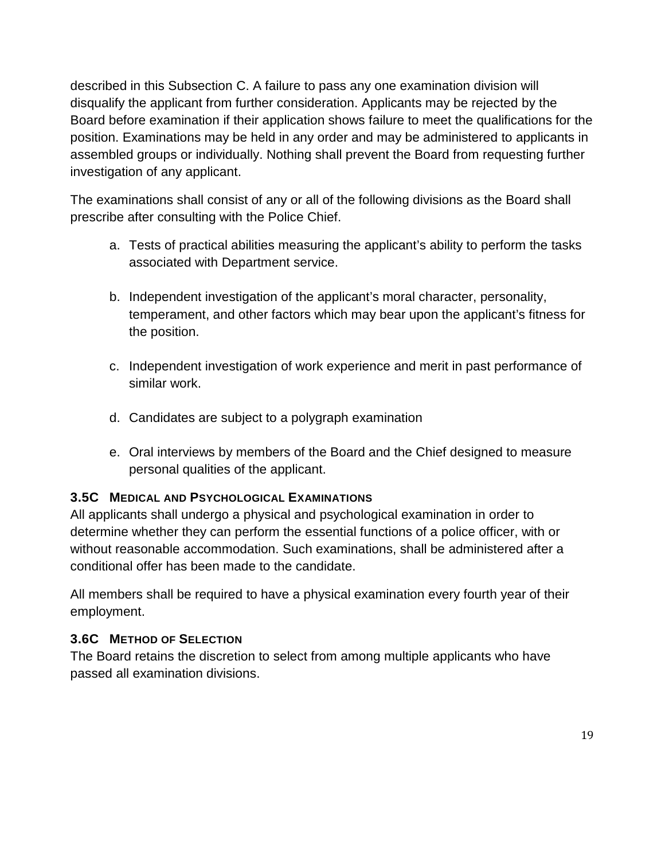described in this Subsection C. A failure to pass any one examination division will disqualify the applicant from further consideration. Applicants may be rejected by the Board before examination if their application shows failure to meet the qualifications for the position. Examinations may be held in any order and may be administered to applicants in assembled groups or individually. Nothing shall prevent the Board from requesting further investigation of any applicant.

The examinations shall consist of any or all of the following divisions as the Board shall prescribe after consulting with the Police Chief.

- a. Tests of practical abilities measuring the applicant's ability to perform the tasks associated with Department service.
- b. Independent investigation of the applicant's moral character, personality, temperament, and other factors which may bear upon the applicant's fitness for the position.
- c. Independent investigation of work experience and merit in past performance of similar work.
- d. Candidates are subject to a polygraph examination
- e. Oral interviews by members of the Board and the Chief designed to measure personal qualities of the applicant.

#### <span id="page-19-0"></span>**3.5C MEDICAL AND PSYCHOLOGICAL EXAMINATIONS**

All applicants shall undergo a physical and psychological examination in order to determine whether they can perform the essential functions of a police officer, with or without reasonable accommodation. Such examinations, shall be administered after a conditional offer has been made to the candidate.

All members shall be required to have a physical examination every fourth year of their employment.

### <span id="page-19-1"></span>**3.6C METHOD OF SELECTION**

The Board retains the discretion to select from among multiple applicants who have passed all examination divisions.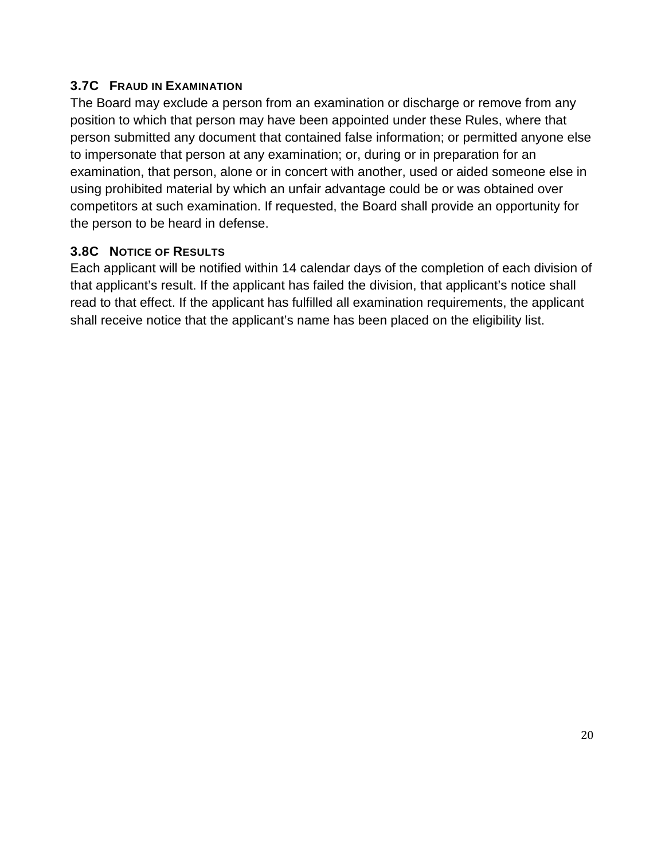#### <span id="page-20-0"></span>**3.7C FRAUD IN EXAMINATION**

The Board may exclude a person from an examination or discharge or remove from any position to which that person may have been appointed under these Rules, where that person submitted any document that contained false information; or permitted anyone else to impersonate that person at any examination; or, during or in preparation for an examination, that person, alone or in concert with another, used or aided someone else in using prohibited material by which an unfair advantage could be or was obtained over competitors at such examination. If requested, the Board shall provide an opportunity for the person to be heard in defense.

#### <span id="page-20-1"></span>**3.8C NOTICE OF RESULTS**

Each applicant will be notified within 14 calendar days of the completion of each division of that applicant's result. If the applicant has failed the division, that applicant's notice shall read to that effect. If the applicant has fulfilled all examination requirements, the applicant shall receive notice that the applicant's name has been placed on the eligibility list.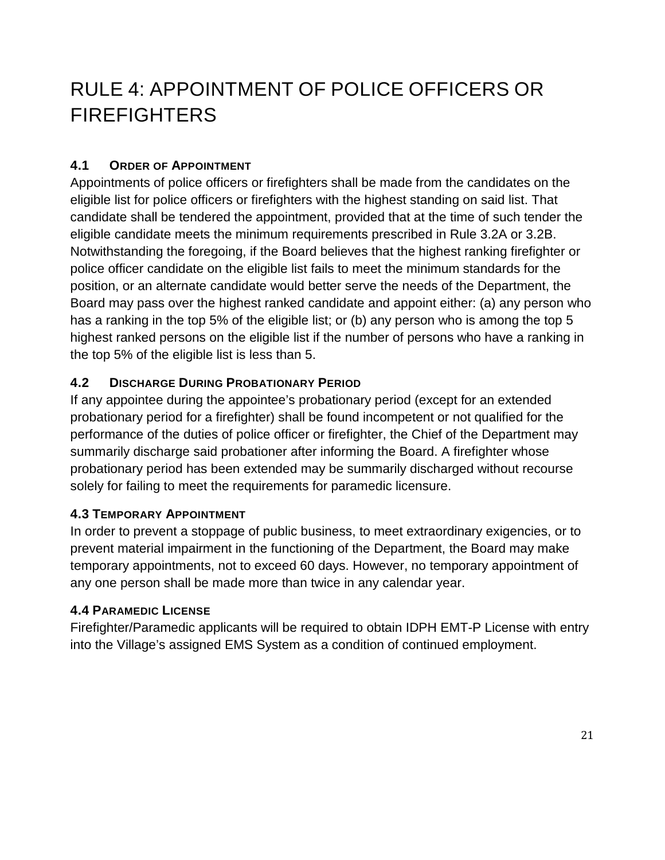# <span id="page-21-0"></span>RULE 4: APPOINTMENT OF POLICE OFFICERS OR FIREFIGHTERS

#### <span id="page-21-1"></span>**4.1 ORDER OF APPOINTMENT**

Appointments of police officers or firefighters shall be made from the candidates on the eligible list for police officers or firefighters with the highest standing on said list. That candidate shall be tendered the appointment, provided that at the time of such tender the eligible candidate meets the minimum requirements prescribed in Rule 3.2A or 3.2B. Notwithstanding the foregoing, if the Board believes that the highest ranking firefighter or police officer candidate on the eligible list fails to meet the minimum standards for the position, or an alternate candidate would better serve the needs of the Department, the Board may pass over the highest ranked candidate and appoint either: (a) any person who has a ranking in the top 5% of the eligible list; or (b) any person who is among the top 5 highest ranked persons on the eligible list if the number of persons who have a ranking in the top 5% of the eligible list is less than 5.

#### <span id="page-21-2"></span>**4.2 DISCHARGE DURING PROBATIONARY PERIOD**

If any appointee during the appointee's probationary period (except for an extended probationary period for a firefighter) shall be found incompetent or not qualified for the performance of the duties of police officer or firefighter, the Chief of the Department may summarily discharge said probationer after informing the Board. A firefighter whose probationary period has been extended may be summarily discharged without recourse solely for failing to meet the requirements for paramedic licensure.

#### <span id="page-21-3"></span>**4.3 TEMPORARY APPOINTMENT**

In order to prevent a stoppage of public business, to meet extraordinary exigencies, or to prevent material impairment in the functioning of the Department, the Board may make temporary appointments, not to exceed 60 days. However, no temporary appointment of any one person shall be made more than twice in any calendar year.

#### <span id="page-21-4"></span>**4.4 PARAMEDIC LICENSE**

Firefighter/Paramedic applicants will be required to obtain IDPH EMT-P License with entry into the Village's assigned EMS System as a condition of continued employment.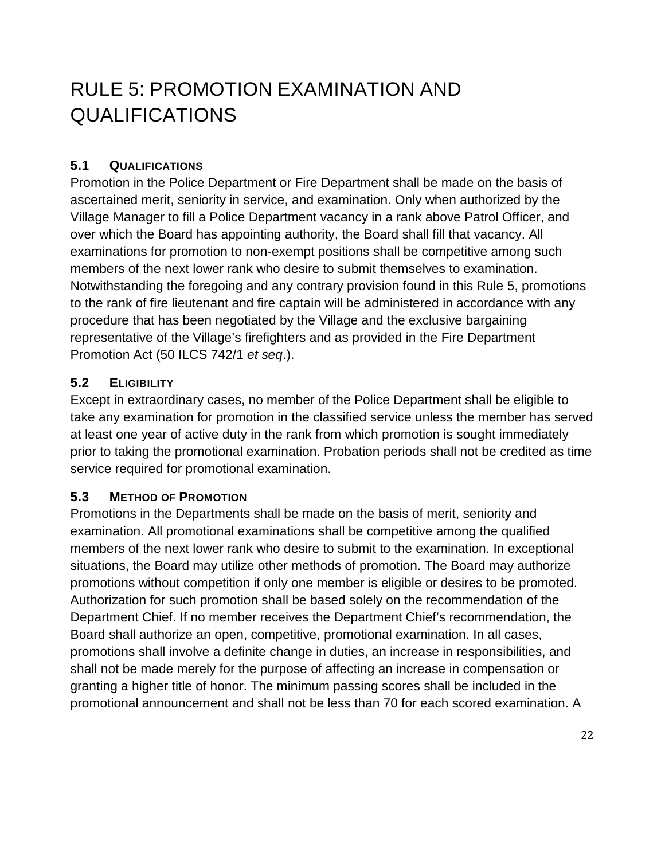# <span id="page-22-0"></span>RULE 5: PROMOTION EXAMINATION AND QUALIFICATIONS

### <span id="page-22-1"></span>**5.1 QUALIFICATIONS**

Promotion in the Police Department or Fire Department shall be made on the basis of ascertained merit, seniority in service, and examination. Only when authorized by the Village Manager to fill a Police Department vacancy in a rank above Patrol Officer, and over which the Board has appointing authority, the Board shall fill that vacancy. All examinations for promotion to non-exempt positions shall be competitive among such members of the next lower rank who desire to submit themselves to examination. Notwithstanding the foregoing and any contrary provision found in this Rule 5, promotions to the rank of fire lieutenant and fire captain will be administered in accordance with any procedure that has been negotiated by the Village and the exclusive bargaining representative of the Village's firefighters and as provided in the Fire Department Promotion Act (50 ILCS 742/1 *et seq*.).

### <span id="page-22-2"></span>**5.2 ELIGIBILITY**

Except in extraordinary cases, no member of the Police Department shall be eligible to take any examination for promotion in the classified service unless the member has served at least one year of active duty in the rank from which promotion is sought immediately prior to taking the promotional examination. Probation periods shall not be credited as time service required for promotional examination.

### <span id="page-22-3"></span>**5.3 METHOD OF PROMOTION**

Promotions in the Departments shall be made on the basis of merit, seniority and examination. All promotional examinations shall be competitive among the qualified members of the next lower rank who desire to submit to the examination. In exceptional situations, the Board may utilize other methods of promotion. The Board may authorize promotions without competition if only one member is eligible or desires to be promoted. Authorization for such promotion shall be based solely on the recommendation of the Department Chief. If no member receives the Department Chief's recommendation, the Board shall authorize an open, competitive, promotional examination. In all cases, promotions shall involve a definite change in duties, an increase in responsibilities, and shall not be made merely for the purpose of affecting an increase in compensation or granting a higher title of honor. The minimum passing scores shall be included in the promotional announcement and shall not be less than 70 for each scored examination. A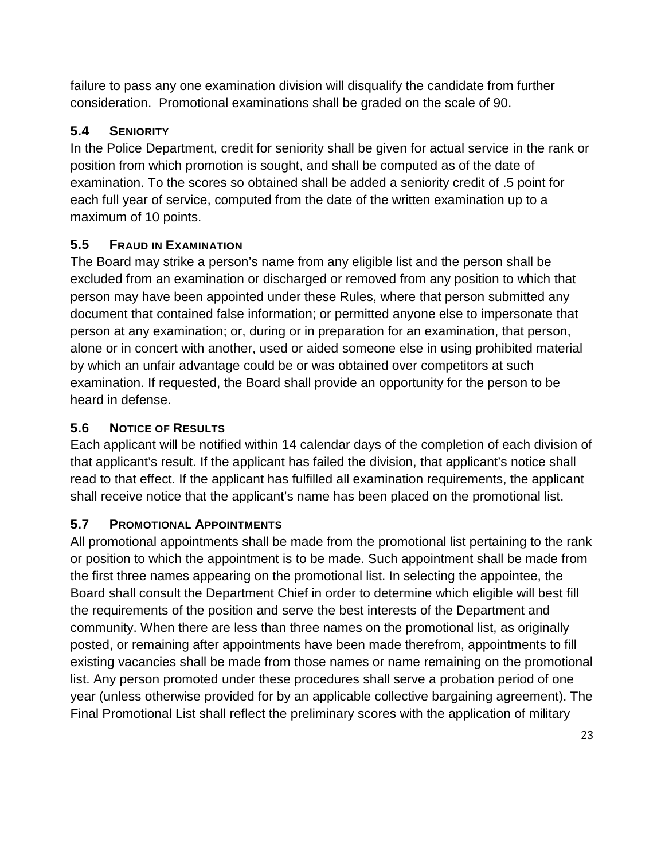failure to pass any one examination division will disqualify the candidate from further consideration. Promotional examinations shall be graded on the scale of 90.

### <span id="page-23-0"></span>**5.4 SENIORITY**

In the Police Department, credit for seniority shall be given for actual service in the rank or position from which promotion is sought, and shall be computed as of the date of examination. To the scores so obtained shall be added a seniority credit of .5 point for each full year of service, computed from the date of the written examination up to a maximum of 10 points.

# <span id="page-23-1"></span>**5.5 FRAUD IN EXAMINATION**

The Board may strike a person's name from any eligible list and the person shall be excluded from an examination or discharged or removed from any position to which that person may have been appointed under these Rules, where that person submitted any document that contained false information; or permitted anyone else to impersonate that person at any examination; or, during or in preparation for an examination, that person, alone or in concert with another, used or aided someone else in using prohibited material by which an unfair advantage could be or was obtained over competitors at such examination. If requested, the Board shall provide an opportunity for the person to be heard in defense.

# <span id="page-23-2"></span>**5.6 NOTICE OF RESULTS**

Each applicant will be notified within 14 calendar days of the completion of each division of that applicant's result. If the applicant has failed the division, that applicant's notice shall read to that effect. If the applicant has fulfilled all examination requirements, the applicant shall receive notice that the applicant's name has been placed on the promotional list.

### <span id="page-23-3"></span>**5.7 PROMOTIONAL APPOINTMENTS**

All promotional appointments shall be made from the promotional list pertaining to the rank or position to which the appointment is to be made. Such appointment shall be made from the first three names appearing on the promotional list. In selecting the appointee, the Board shall consult the Department Chief in order to determine which eligible will best fill the requirements of the position and serve the best interests of the Department and community. When there are less than three names on the promotional list, as originally posted, or remaining after appointments have been made therefrom, appointments to fill existing vacancies shall be made from those names or name remaining on the promotional list. Any person promoted under these procedures shall serve a probation period of one year (unless otherwise provided for by an applicable collective bargaining agreement). The Final Promotional List shall reflect the preliminary scores with the application of military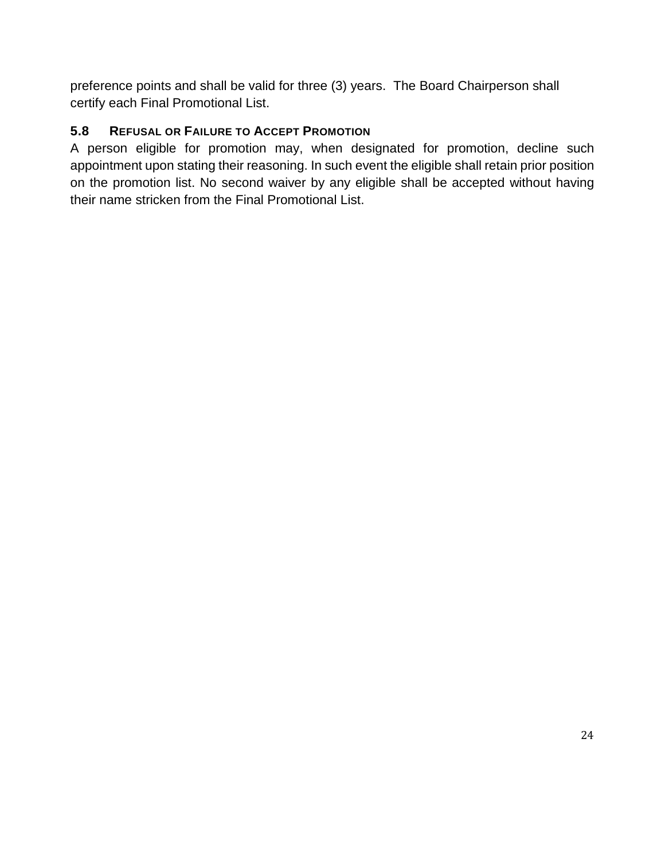preference points and shall be valid for three (3) years. The Board Chairperson shall certify each Final Promotional List.

# <span id="page-24-0"></span>**5.8 REFUSAL OR FAILURE TO ACCEPT PROMOTION**

A person eligible for promotion may, when designated for promotion, decline such appointment upon stating their reasoning. In such event the eligible shall retain prior position on the promotion list. No second waiver by any eligible shall be accepted without having their name stricken from the Final Promotional List.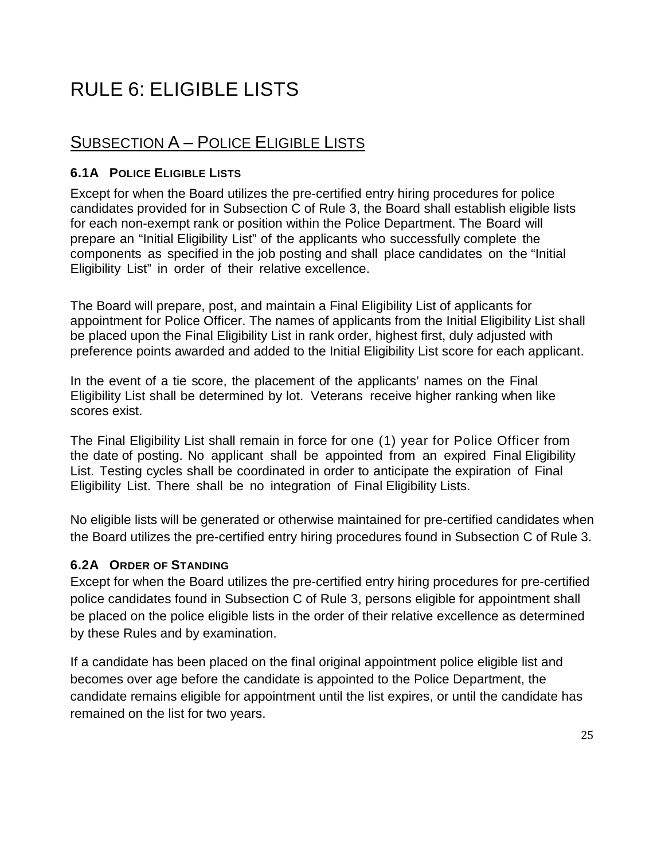# <span id="page-25-0"></span>RULE 6: ELIGIBLE LISTS

# <span id="page-25-1"></span>SUBSECTION A – POLICE ELIGIBLE LISTS

#### <span id="page-25-2"></span>**6.1A POLICE ELIGIBLE LISTS**

Except for when the Board utilizes the pre-certified entry hiring procedures for police candidates provided for in Subsection C of Rule 3, the Board shall establish eligible lists for each non-exempt rank or position within the Police Department. The Board will prepare an "Initial Eligibility List" of the applicants who successfully complete the components as specified in the job posting and shall place candidates on the "Initial Eligibility List" in order of their relative excellence.

The Board will prepare, post, and maintain a Final Eligibility List of applicants for appointment for Police Officer. The names of applicants from the Initial Eligibility List shall be placed upon the Final Eligibility List in rank order, highest first, duly adjusted with preference points awarded and added to the Initial Eligibility List score for each applicant.

In the event of a tie score, the placement of the applicants' names on the Final Eligibility List shall be determined by lot. Veterans receive higher ranking when like scores exist.

The Final Eligibility List shall remain in force for one (1) year for Police Officer from the date of posting. No applicant shall be appointed from an expired Final Eligibility List. Testing cycles shall be coordinated in order to anticipate the expiration of Final Eligibility List. There shall be no integration of Final Eligibility Lists.

No eligible lists will be generated or otherwise maintained for pre-certified candidates when the Board utilizes the pre-certified entry hiring procedures found in Subsection C of Rule 3.

#### <span id="page-25-3"></span>**6.2A ORDER OF STANDING**

Except for when the Board utilizes the pre-certified entry hiring procedures for pre-certified police candidates found in Subsection C of Rule 3, persons eligible for appointment shall be placed on the police eligible lists in the order of their relative excellence as determined by these Rules and by examination.

If a candidate has been placed on the final original appointment police eligible list and becomes over age before the candidate is appointed to the Police Department, the candidate remains eligible for appointment until the list expires, or until the candidate has remained on the list for two years.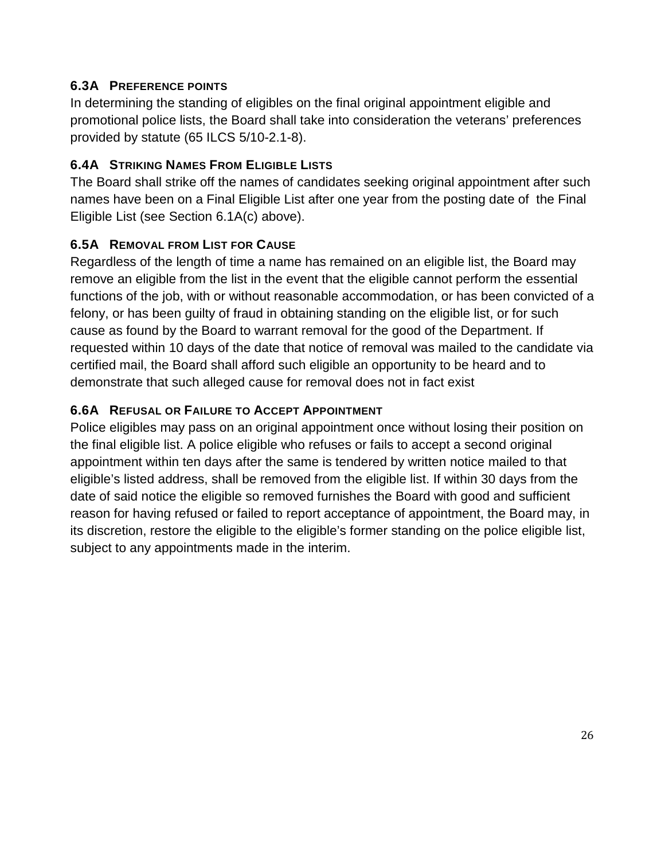#### <span id="page-26-0"></span>**6.3A PREFERENCE POINTS**

In determining the standing of eligibles on the final original appointment eligible and promotional police lists, the Board shall take into consideration the veterans' preferences provided by statute (65 ILCS 5/10-2.1-8).

#### <span id="page-26-1"></span>**6.4A STRIKING NAMES FROM ELIGIBLE LISTS**

The Board shall strike off the names of candidates seeking original appointment after such names have been on a Final Eligible List after one year from the posting date of the Final Eligible List (see Section 6.1A(c) above).

### <span id="page-26-2"></span>**6.5A REMOVAL FROM LIST FOR CAUSE**

Regardless of the length of time a name has remained on an eligible list, the Board may remove an eligible from the list in the event that the eligible cannot perform the essential functions of the job, with or without reasonable accommodation, or has been convicted of a felony, or has been guilty of fraud in obtaining standing on the eligible list, or for such cause as found by the Board to warrant removal for the good of the Department. If requested within 10 days of the date that notice of removal was mailed to the candidate via certified mail, the Board shall afford such eligible an opportunity to be heard and to demonstrate that such alleged cause for removal does not in fact exist

### <span id="page-26-3"></span>**6.6A REFUSAL OR FAILURE TO ACCEPT APPOINTMENT**

Police eligibles may pass on an original appointment once without losing their position on the final eligible list. A police eligible who refuses or fails to accept a second original appointment within ten days after the same is tendered by written notice mailed to that eligible's listed address, shall be removed from the eligible list. If within 30 days from the date of said notice the eligible so removed furnishes the Board with good and sufficient reason for having refused or failed to report acceptance of appointment, the Board may, in its discretion, restore the eligible to the eligible's former standing on the police eligible list, subject to any appointments made in the interim.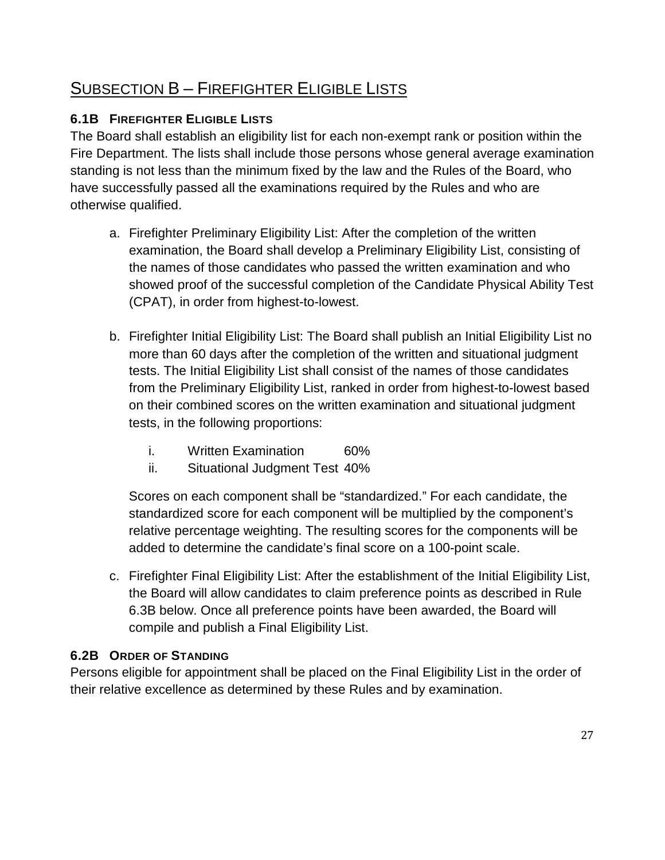# <span id="page-27-0"></span>SUBSECTION B – FIREFIGHTER ELIGIBLE LISTS

# <span id="page-27-1"></span>**6.1B FIREFIGHTER ELIGIBLE LISTS**

The Board shall establish an eligibility list for each non-exempt rank or position within the Fire Department. The lists shall include those persons whose general average examination standing is not less than the minimum fixed by the law and the Rules of the Board, who have successfully passed all the examinations required by the Rules and who are otherwise qualified.

- a. Firefighter Preliminary Eligibility List: After the completion of the written examination, the Board shall develop a Preliminary Eligibility List, consisting of the names of those candidates who passed the written examination and who showed proof of the successful completion of the Candidate Physical Ability Test (CPAT), in order from highest-to-lowest.
- b. Firefighter Initial Eligibility List: The Board shall publish an Initial Eligibility List no more than 60 days after the completion of the written and situational judgment tests. The Initial Eligibility List shall consist of the names of those candidates from the Preliminary Eligibility List, ranked in order from highest-to-lowest based on their combined scores on the written examination and situational judgment tests, in the following proportions:
	- i. Written Examination 60%
	- ii. Situational Judgment Test 40%

Scores on each component shall be "standardized." For each candidate, the standardized score for each component will be multiplied by the component's relative percentage weighting. The resulting scores for the components will be added to determine the candidate's final score on a 100-point scale.

c. Firefighter Final Eligibility List: After the establishment of the Initial Eligibility List, the Board will allow candidates to claim preference points as described in Rule 6.3B below. Once all preference points have been awarded, the Board will compile and publish a Final Eligibility List.

# <span id="page-27-2"></span>**6.2B ORDER OF STANDING**

Persons eligible for appointment shall be placed on the Final Eligibility List in the order of their relative excellence as determined by these Rules and by examination.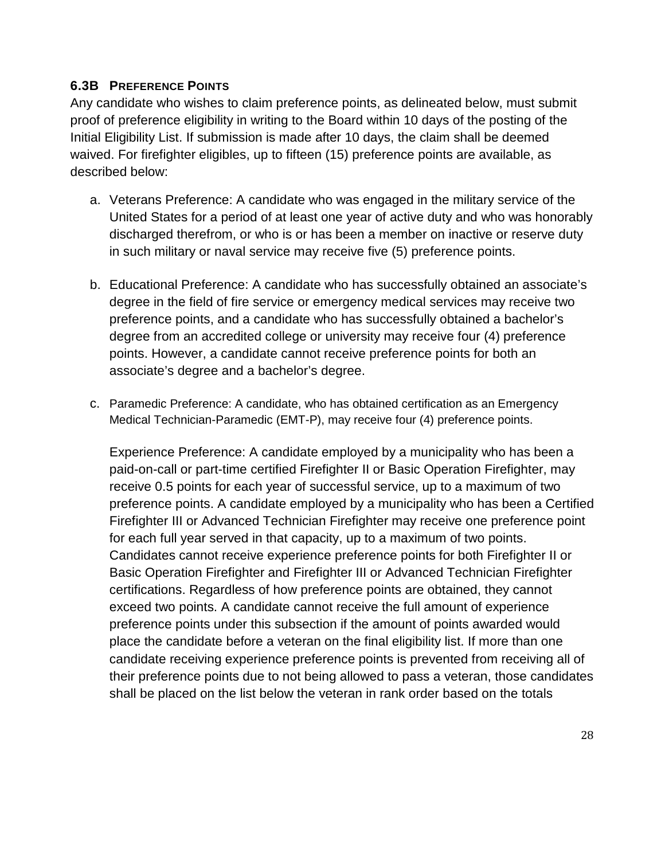#### <span id="page-28-0"></span>**6.3B PREFERENCE POINTS**

Any candidate who wishes to claim preference points, as delineated below, must submit proof of preference eligibility in writing to the Board within 10 days of the posting of the Initial Eligibility List. If submission is made after 10 days, the claim shall be deemed waived. For firefighter eligibles, up to fifteen (15) preference points are available, as described below:

- a. Veterans Preference: A candidate who was engaged in the military service of the United States for a period of at least one year of active duty and who was honorably discharged therefrom, or who is or has been a member on inactive or reserve duty in such military or naval service may receive five (5) preference points.
- b. Educational Preference: A candidate who has successfully obtained an associate's degree in the field of fire service or emergency medical services may receive two preference points, and a candidate who has successfully obtained a bachelor's degree from an accredited college or university may receive four (4) preference points. However, a candidate cannot receive preference points for both an associate's degree and a bachelor's degree.
- c. Paramedic Preference: A candidate, who has obtained certification as an Emergency Medical Technician-Paramedic (EMT-P), may receive four (4) preference points.

Experience Preference: A candidate employed by a municipality who has been a paid-on-call or part-time certified Firefighter II or Basic Operation Firefighter, may receive 0.5 points for each year of successful service, up to a maximum of two preference points. A candidate employed by a municipality who has been a Certified Firefighter III or Advanced Technician Firefighter may receive one preference point for each full year served in that capacity, up to a maximum of two points. Candidates cannot receive experience preference points for both Firefighter II or Basic Operation Firefighter and Firefighter III or Advanced Technician Firefighter certifications. Regardless of how preference points are obtained, they cannot exceed two points. A candidate cannot receive the full amount of experience preference points under this subsection if the amount of points awarded would place the candidate before a veteran on the final eligibility list. If more than one candidate receiving experience preference points is prevented from receiving all of their preference points due to not being allowed to pass a veteran, those candidates shall be placed on the list below the veteran in rank order based on the totals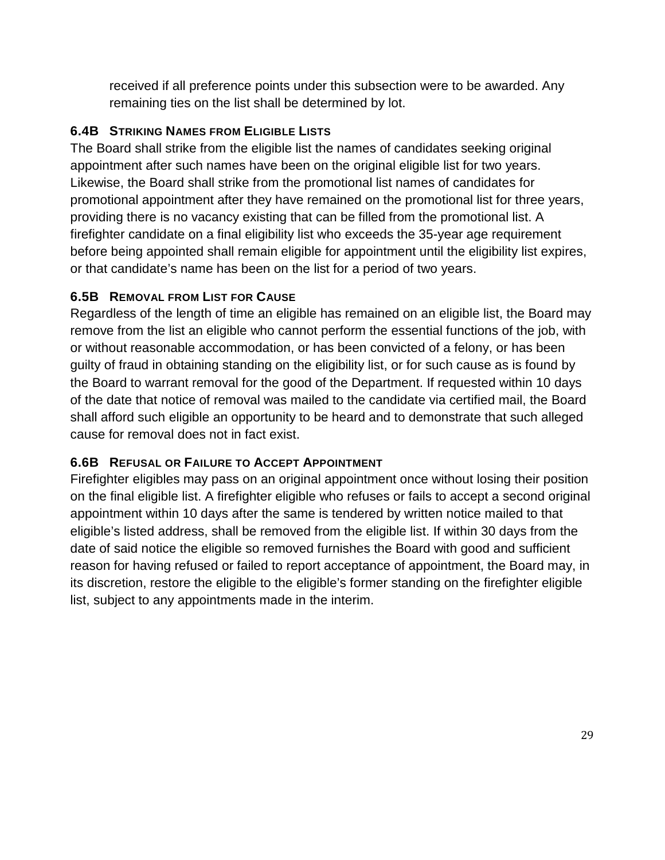received if all preference points under this subsection were to be awarded. Any remaining ties on the list shall be determined by lot.

#### <span id="page-29-0"></span>**6.4B STRIKING NAMES FROM ELIGIBLE LISTS**

The Board shall strike from the eligible list the names of candidates seeking original appointment after such names have been on the original eligible list for two years. Likewise, the Board shall strike from the promotional list names of candidates for promotional appointment after they have remained on the promotional list for three years, providing there is no vacancy existing that can be filled from the promotional list. A firefighter candidate on a final eligibility list who exceeds the 35-year age requirement before being appointed shall remain eligible for appointment until the eligibility list expires, or that candidate's name has been on the list for a period of two years.

### <span id="page-29-1"></span>**6.5B REMOVAL FROM LIST FOR CAUSE**

Regardless of the length of time an eligible has remained on an eligible list, the Board may remove from the list an eligible who cannot perform the essential functions of the job, with or without reasonable accommodation, or has been convicted of a felony, or has been guilty of fraud in obtaining standing on the eligibility list, or for such cause as is found by the Board to warrant removal for the good of the Department. If requested within 10 days of the date that notice of removal was mailed to the candidate via certified mail, the Board shall afford such eligible an opportunity to be heard and to demonstrate that such alleged cause for removal does not in fact exist.

### <span id="page-29-2"></span>**6.6B REFUSAL OR FAILURE TO ACCEPT APPOINTMENT**

Firefighter eligibles may pass on an original appointment once without losing their position on the final eligible list. A firefighter eligible who refuses or fails to accept a second original appointment within 10 days after the same is tendered by written notice mailed to that eligible's listed address, shall be removed from the eligible list. If within 30 days from the date of said notice the eligible so removed furnishes the Board with good and sufficient reason for having refused or failed to report acceptance of appointment, the Board may, in its discretion, restore the eligible to the eligible's former standing on the firefighter eligible list, subject to any appointments made in the interim.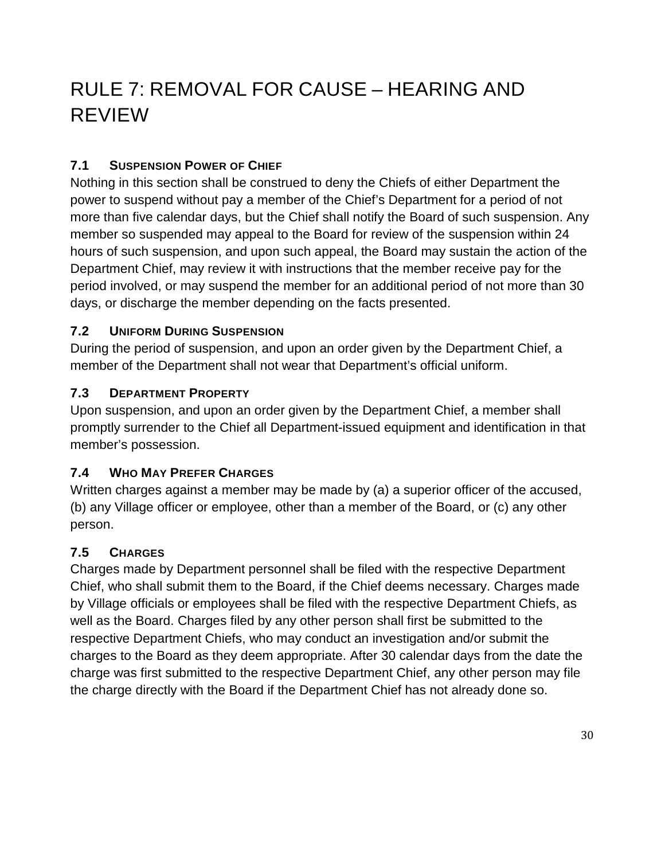# <span id="page-30-0"></span>RULE 7: REMOVAL FOR CAUSE – HEARING AND REVIEW

### <span id="page-30-1"></span>**7.1 SUSPENSION POWER OF CHIEF**

Nothing in this section shall be construed to deny the Chiefs of either Department the power to suspend without pay a member of the Chief's Department for a period of not more than five calendar days, but the Chief shall notify the Board of such suspension. Any member so suspended may appeal to the Board for review of the suspension within 24 hours of such suspension, and upon such appeal, the Board may sustain the action of the Department Chief, may review it with instructions that the member receive pay for the period involved, or may suspend the member for an additional period of not more than 30 days, or discharge the member depending on the facts presented.

#### <span id="page-30-2"></span>**7.2 UNIFORM DURING SUSPENSION**

During the period of suspension, and upon an order given by the Department Chief, a member of the Department shall not wear that Department's official uniform.

#### <span id="page-30-3"></span>**7.3 DEPARTMENT PROPERTY**

Upon suspension, and upon an order given by the Department Chief, a member shall promptly surrender to the Chief all Department-issued equipment and identification in that member's possession.

#### <span id="page-30-4"></span>**7.4 WHO MAY PREFER CHARGES**

Written charges against a member may be made by (a) a superior officer of the accused, (b) any Village officer or employee, other than a member of the Board, or (c) any other person.

### <span id="page-30-5"></span>**7.5 CHARGES**

Charges made by Department personnel shall be filed with the respective Department Chief, who shall submit them to the Board, if the Chief deems necessary. Charges made by Village officials or employees shall be filed with the respective Department Chiefs, as well as the Board. Charges filed by any other person shall first be submitted to the respective Department Chiefs, who may conduct an investigation and/or submit the charges to the Board as they deem appropriate. After 30 calendar days from the date the charge was first submitted to the respective Department Chief, any other person may file the charge directly with the Board if the Department Chief has not already done so.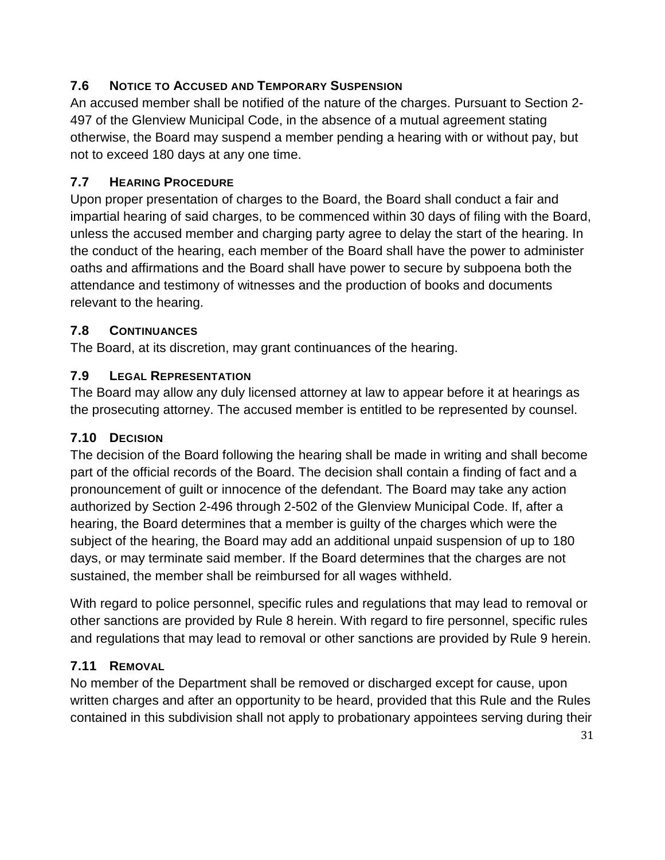# <span id="page-31-0"></span>**7.6 NOTICE TO ACCUSED AND TEMPORARY SUSPENSION**

An accused member shall be notified of the nature of the charges. Pursuant to Section 2- 497 of the Glenview Municipal Code, in the absence of a mutual agreement stating otherwise, the Board may suspend a member pending a hearing with or without pay, but not to exceed 180 days at any one time.

# <span id="page-31-1"></span>**7.7 HEARING PROCEDURE**

Upon proper presentation of charges to the Board, the Board shall conduct a fair and impartial hearing of said charges, to be commenced within 30 days of filing with the Board, unless the accused member and charging party agree to delay the start of the hearing. In the conduct of the hearing, each member of the Board shall have the power to administer oaths and affirmations and the Board shall have power to secure by subpoena both the attendance and testimony of witnesses and the production of books and documents relevant to the hearing.

# <span id="page-31-2"></span>**7.8 CONTINUANCES**

The Board, at its discretion, may grant continuances of the hearing.

### <span id="page-31-3"></span>**7.9 LEGAL REPRESENTATION**

The Board may allow any duly licensed attorney at law to appear before it at hearings as the prosecuting attorney. The accused member is entitled to be represented by counsel.

### <span id="page-31-4"></span>**7.10 DECISION**

The decision of the Board following the hearing shall be made in writing and shall become part of the official records of the Board. The decision shall contain a finding of fact and a pronouncement of guilt or innocence of the defendant. The Board may take any action authorized by Section 2-496 through 2-502 of the Glenview Municipal Code. If, after a hearing, the Board determines that a member is guilty of the charges which were the subject of the hearing, the Board may add an additional unpaid suspension of up to 180 days, or may terminate said member. If the Board determines that the charges are not sustained, the member shall be reimbursed for all wages withheld.

With regard to police personnel, specific rules and regulations that may lead to removal or other sanctions are provided by Rule 8 herein. With regard to fire personnel, specific rules and regulations that may lead to removal or other sanctions are provided by Rule 9 herein.

### <span id="page-31-5"></span>**7.11 REMOVAL**

No member of the Department shall be removed or discharged except for cause, upon written charges and after an opportunity to be heard, provided that this Rule and the Rules contained in this subdivision shall not apply to probationary appointees serving during their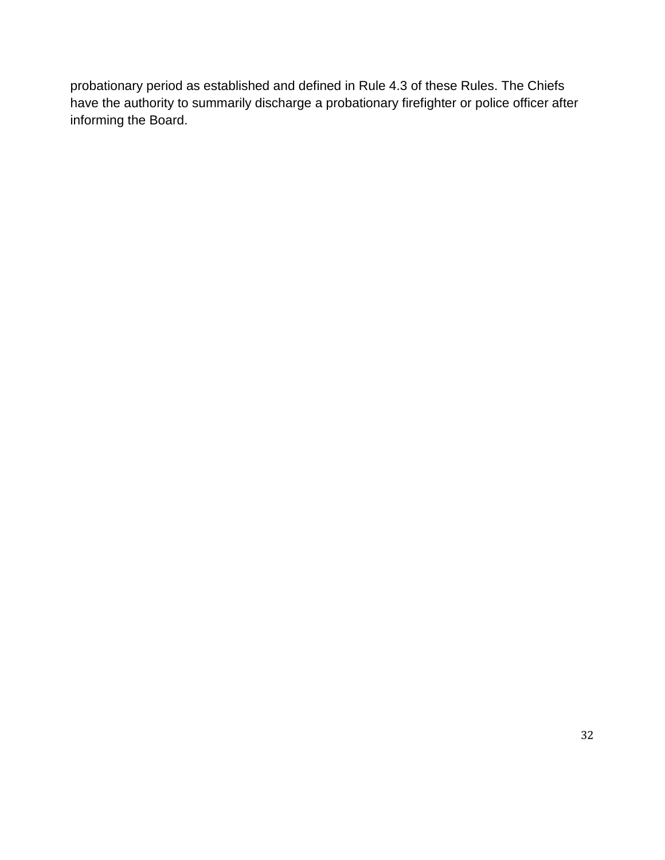probationary period as established and defined in Rule 4.3 of these Rules. The Chiefs have the authority to summarily discharge a probationary firefighter or police officer after informing the Board.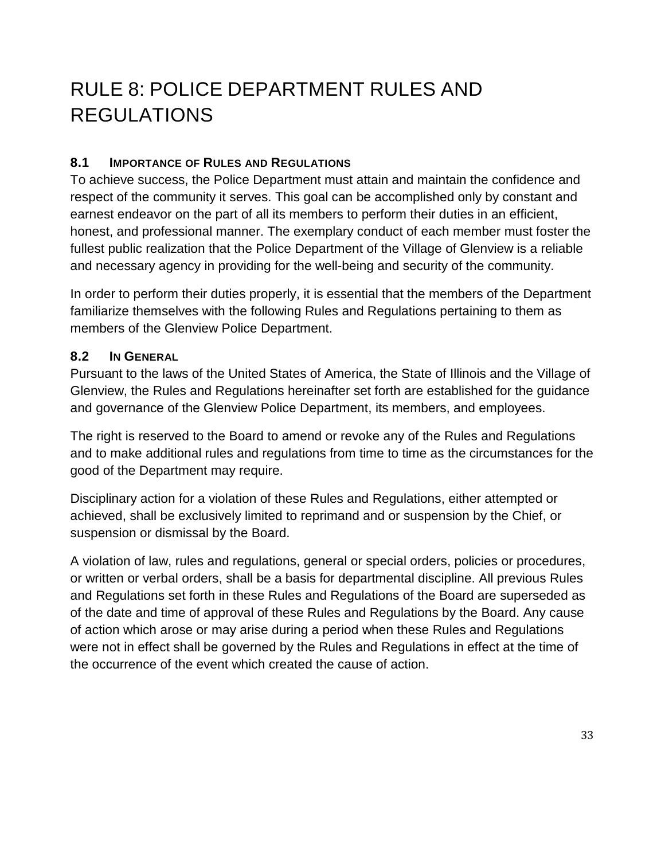# <span id="page-33-0"></span>RULE 8: POLICE DEPARTMENT RULES AND REGULATIONS

#### <span id="page-33-1"></span>**8.1 IMPORTANCE OF RULES AND REGULATIONS**

To achieve success, the Police Department must attain and maintain the confidence and respect of the community it serves. This goal can be accomplished only by constant and earnest endeavor on the part of all its members to perform their duties in an efficient, honest, and professional manner. The exemplary conduct of each member must foster the fullest public realization that the Police Department of the Village of Glenview is a reliable and necessary agency in providing for the well-being and security of the community.

In order to perform their duties properly, it is essential that the members of the Department familiarize themselves with the following Rules and Regulations pertaining to them as members of the Glenview Police Department.

#### <span id="page-33-2"></span>**8.2 IN GENERAL**

Pursuant to the laws of the United States of America, the State of Illinois and the Village of Glenview, the Rules and Regulations hereinafter set forth are established for the guidance and governance of the Glenview Police Department, its members, and employees.

The right is reserved to the Board to amend or revoke any of the Rules and Regulations and to make additional rules and regulations from time to time as the circumstances for the good of the Department may require.

Disciplinary action for a violation of these Rules and Regulations, either attempted or achieved, shall be exclusively limited to reprimand and or suspension by the Chief, or suspension or dismissal by the Board.

A violation of law, rules and regulations, general or special orders, policies or procedures, or written or verbal orders, shall be a basis for departmental discipline. All previous Rules and Regulations set forth in these Rules and Regulations of the Board are superseded as of the date and time of approval of these Rules and Regulations by the Board. Any cause of action which arose or may arise during a period when these Rules and Regulations were not in effect shall be governed by the Rules and Regulations in effect at the time of the occurrence of the event which created the cause of action.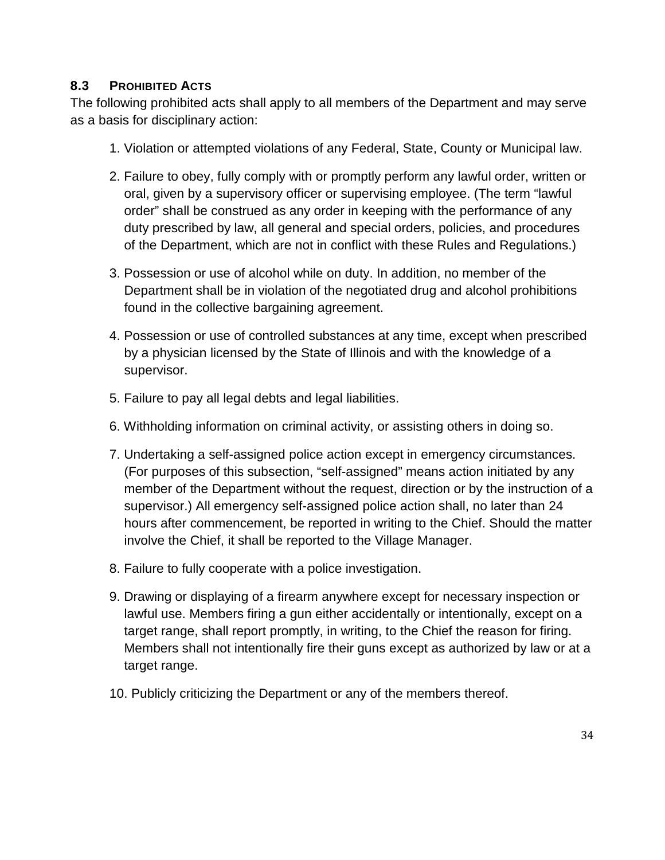#### <span id="page-34-0"></span>**8.3 PROHIBITED ACTS**

The following prohibited acts shall apply to all members of the Department and may serve as a basis for disciplinary action:

- 1. Violation or attempted violations of any Federal, State, County or Municipal law.
- 2. Failure to obey, fully comply with or promptly perform any lawful order, written or oral, given by a supervisory officer or supervising employee. (The term "lawful order" shall be construed as any order in keeping with the performance of any duty prescribed by law, all general and special orders, policies, and procedures of the Department, which are not in conflict with these Rules and Regulations.)
- 3. Possession or use of alcohol while on duty. In addition, no member of the Department shall be in violation of the negotiated drug and alcohol prohibitions found in the collective bargaining agreement.
- 4. Possession or use of controlled substances at any time, except when prescribed by a physician licensed by the State of Illinois and with the knowledge of a supervisor.
- 5. Failure to pay all legal debts and legal liabilities.
- 6. Withholding information on criminal activity, or assisting others in doing so.
- 7. Undertaking a self-assigned police action except in emergency circumstances. (For purposes of this subsection, "self-assigned" means action initiated by any member of the Department without the request, direction or by the instruction of a supervisor.) All emergency self-assigned police action shall, no later than 24 hours after commencement, be reported in writing to the Chief. Should the matter involve the Chief, it shall be reported to the Village Manager.
- 8. Failure to fully cooperate with a police investigation.
- 9. Drawing or displaying of a firearm anywhere except for necessary inspection or lawful use. Members firing a gun either accidentally or intentionally, except on a target range, shall report promptly, in writing, to the Chief the reason for firing. Members shall not intentionally fire their guns except as authorized by law or at a target range.
- 10. Publicly criticizing the Department or any of the members thereof.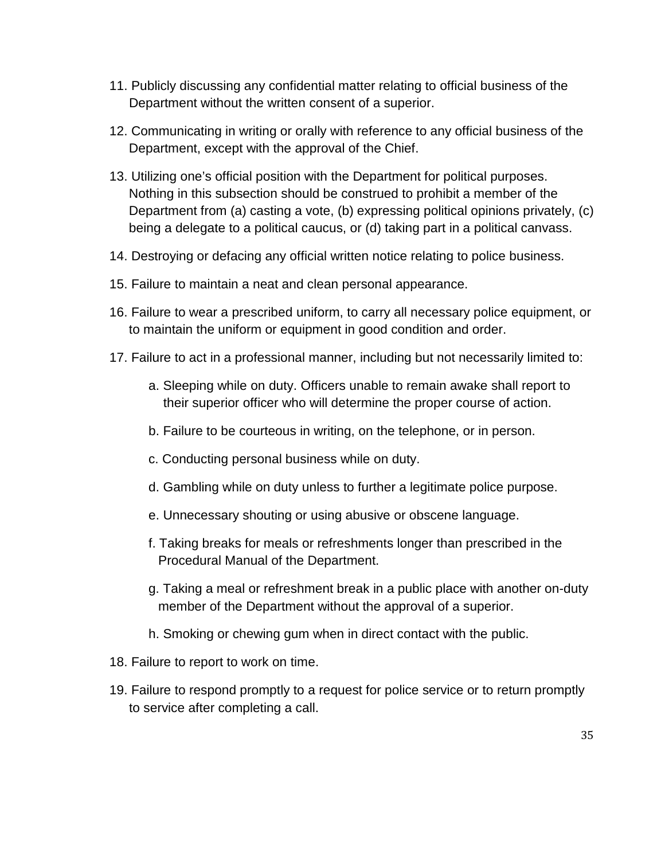- 11. Publicly discussing any confidential matter relating to official business of the Department without the written consent of a superior.
- 12. Communicating in writing or orally with reference to any official business of the Department, except with the approval of the Chief.
- 13. Utilizing one's official position with the Department for political purposes. Nothing in this subsection should be construed to prohibit a member of the Department from (a) casting a vote, (b) expressing political opinions privately, (c) being a delegate to a political caucus, or (d) taking part in a political canvass.
- 14. Destroying or defacing any official written notice relating to police business.
- 15. Failure to maintain a neat and clean personal appearance.
- 16. Failure to wear a prescribed uniform, to carry all necessary police equipment, or to maintain the uniform or equipment in good condition and order.
- 17. Failure to act in a professional manner, including but not necessarily limited to:
	- a. Sleeping while on duty. Officers unable to remain awake shall report to their superior officer who will determine the proper course of action.
	- b. Failure to be courteous in writing, on the telephone, or in person.
	- c. Conducting personal business while on duty.
	- d. Gambling while on duty unless to further a legitimate police purpose.
	- e. Unnecessary shouting or using abusive or obscene language.
	- f. Taking breaks for meals or refreshments longer than prescribed in the Procedural Manual of the Department.
	- g. Taking a meal or refreshment break in a public place with another on-duty member of the Department without the approval of a superior.
	- h. Smoking or chewing gum when in direct contact with the public.
- 18. Failure to report to work on time.
- 19. Failure to respond promptly to a request for police service or to return promptly to service after completing a call.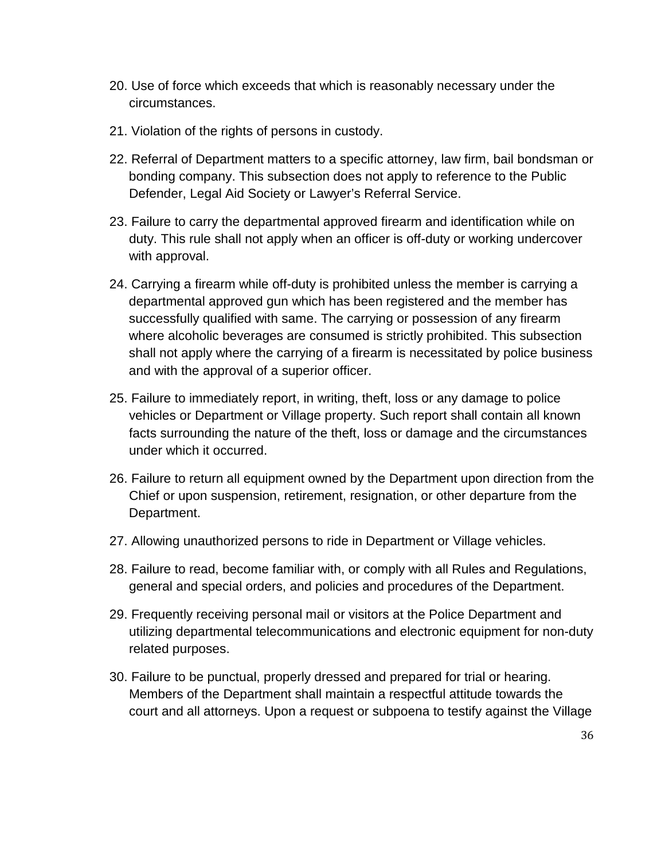- 20. Use of force which exceeds that which is reasonably necessary under the circumstances.
- 21. Violation of the rights of persons in custody.
- 22. Referral of Department matters to a specific attorney, law firm, bail bondsman or bonding company. This subsection does not apply to reference to the Public Defender, Legal Aid Society or Lawyer's Referral Service.
- 23. Failure to carry the departmental approved firearm and identification while on duty. This rule shall not apply when an officer is off-duty or working undercover with approval.
- 24. Carrying a firearm while off-duty is prohibited unless the member is carrying a departmental approved gun which has been registered and the member has successfully qualified with same. The carrying or possession of any firearm where alcoholic beverages are consumed is strictly prohibited. This subsection shall not apply where the carrying of a firearm is necessitated by police business and with the approval of a superior officer.
- 25. Failure to immediately report, in writing, theft, loss or any damage to police vehicles or Department or Village property. Such report shall contain all known facts surrounding the nature of the theft, loss or damage and the circumstances under which it occurred.
- 26. Failure to return all equipment owned by the Department upon direction from the Chief or upon suspension, retirement, resignation, or other departure from the Department.
- 27. Allowing unauthorized persons to ride in Department or Village vehicles.
- 28. Failure to read, become familiar with, or comply with all Rules and Regulations, general and special orders, and policies and procedures of the Department.
- 29. Frequently receiving personal mail or visitors at the Police Department and utilizing departmental telecommunications and electronic equipment for non-duty related purposes.
- 30. Failure to be punctual, properly dressed and prepared for trial or hearing. Members of the Department shall maintain a respectful attitude towards the court and all attorneys. Upon a request or subpoena to testify against the Village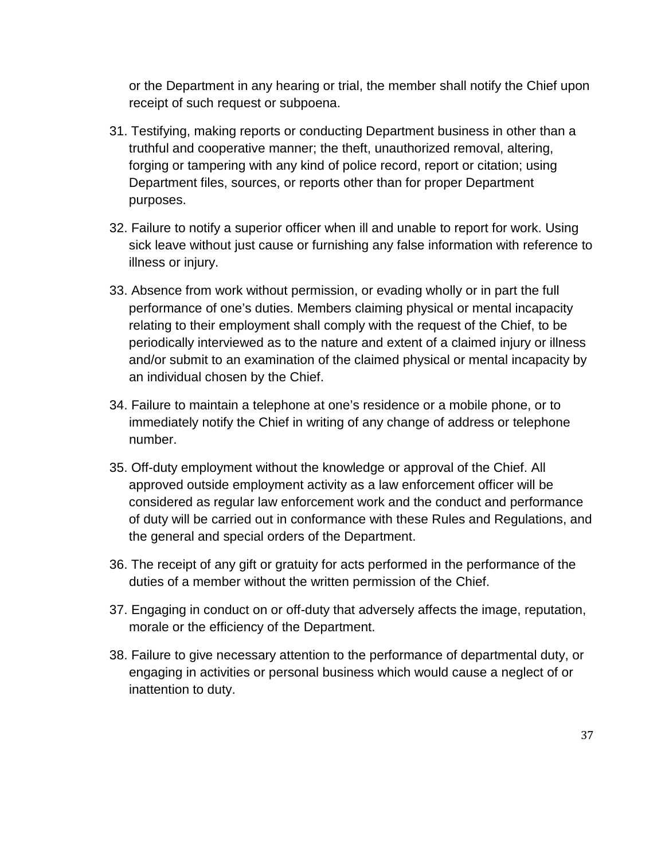or the Department in any hearing or trial, the member shall notify the Chief upon receipt of such request or subpoena.

- 31. Testifying, making reports or conducting Department business in other than a truthful and cooperative manner; the theft, unauthorized removal, altering, forging or tampering with any kind of police record, report or citation; using Department files, sources, or reports other than for proper Department purposes.
- 32. Failure to notify a superior officer when ill and unable to report for work. Using sick leave without just cause or furnishing any false information with reference to illness or injury.
- 33. Absence from work without permission, or evading wholly or in part the full performance of one's duties. Members claiming physical or mental incapacity relating to their employment shall comply with the request of the Chief, to be periodically interviewed as to the nature and extent of a claimed injury or illness and/or submit to an examination of the claimed physical or mental incapacity by an individual chosen by the Chief.
- 34. Failure to maintain a telephone at one's residence or a mobile phone, or to immediately notify the Chief in writing of any change of address or telephone number.
- 35. Off-duty employment without the knowledge or approval of the Chief. All approved outside employment activity as a law enforcement officer will be considered as regular law enforcement work and the conduct and performance of duty will be carried out in conformance with these Rules and Regulations, and the general and special orders of the Department.
- 36. The receipt of any gift or gratuity for acts performed in the performance of the duties of a member without the written permission of the Chief.
- 37. Engaging in conduct on or off-duty that adversely affects the image, reputation, morale or the efficiency of the Department.
- 38. Failure to give necessary attention to the performance of departmental duty, or engaging in activities or personal business which would cause a neglect of or inattention to duty.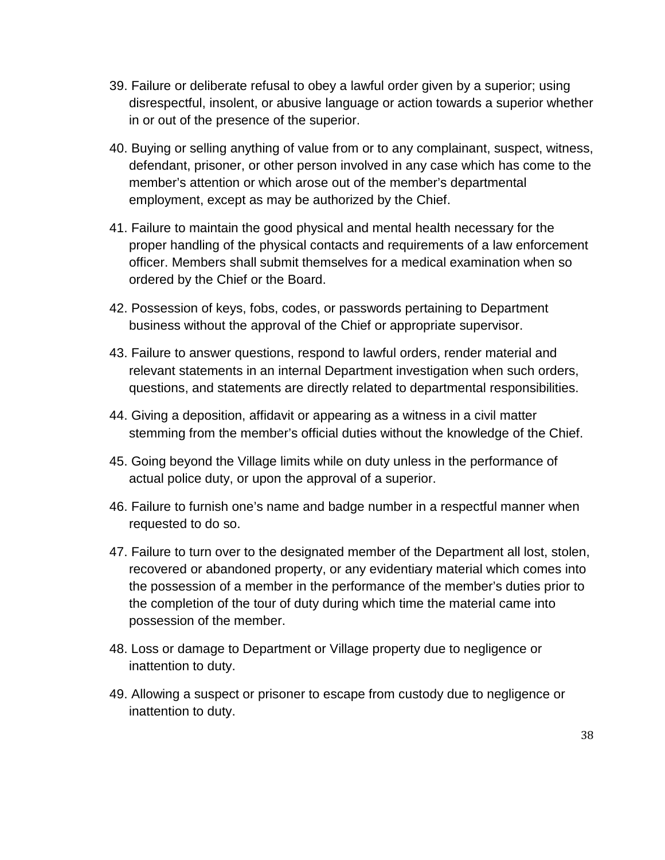- 39. Failure or deliberate refusal to obey a lawful order given by a superior; using disrespectful, insolent, or abusive language or action towards a superior whether in or out of the presence of the superior.
- 40. Buying or selling anything of value from or to any complainant, suspect, witness, defendant, prisoner, or other person involved in any case which has come to the member's attention or which arose out of the member's departmental employment, except as may be authorized by the Chief.
- 41. Failure to maintain the good physical and mental health necessary for the proper handling of the physical contacts and requirements of a law enforcement officer. Members shall submit themselves for a medical examination when so ordered by the Chief or the Board.
- 42. Possession of keys, fobs, codes, or passwords pertaining to Department business without the approval of the Chief or appropriate supervisor.
- 43. Failure to answer questions, respond to lawful orders, render material and relevant statements in an internal Department investigation when such orders, questions, and statements are directly related to departmental responsibilities.
- 44. Giving a deposition, affidavit or appearing as a witness in a civil matter stemming from the member's official duties without the knowledge of the Chief.
- 45. Going beyond the Village limits while on duty unless in the performance of actual police duty, or upon the approval of a superior.
- 46. Failure to furnish one's name and badge number in a respectful manner when requested to do so.
- 47. Failure to turn over to the designated member of the Department all lost, stolen, recovered or abandoned property, or any evidentiary material which comes into the possession of a member in the performance of the member's duties prior to the completion of the tour of duty during which time the material came into possession of the member.
- 48. Loss or damage to Department or Village property due to negligence or inattention to duty.
- 49. Allowing a suspect or prisoner to escape from custody due to negligence or inattention to duty.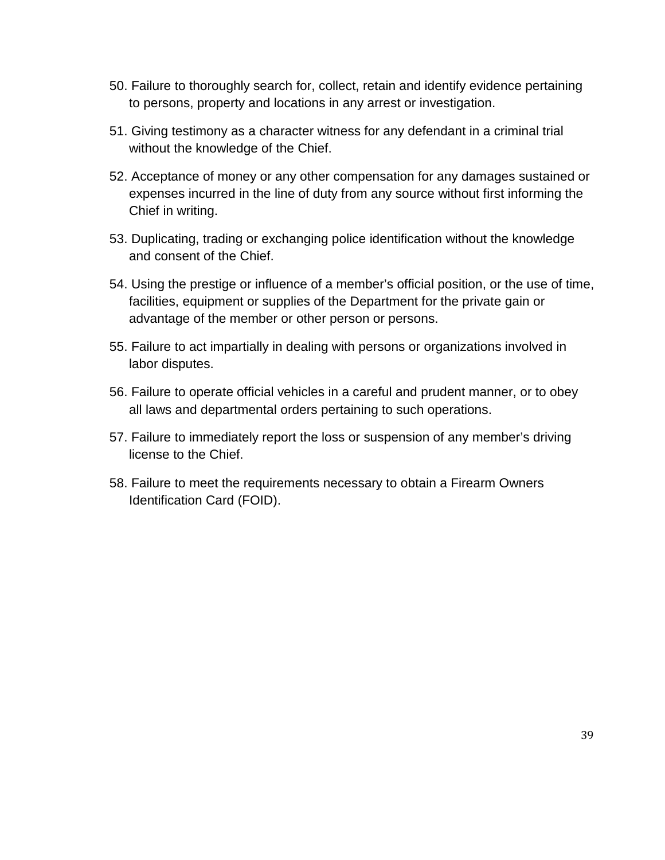- 50. Failure to thoroughly search for, collect, retain and identify evidence pertaining to persons, property and locations in any arrest or investigation.
- 51. Giving testimony as a character witness for any defendant in a criminal trial without the knowledge of the Chief.
- 52. Acceptance of money or any other compensation for any damages sustained or expenses incurred in the line of duty from any source without first informing the Chief in writing.
- 53. Duplicating, trading or exchanging police identification without the knowledge and consent of the Chief.
- 54. Using the prestige or influence of a member's official position, or the use of time, facilities, equipment or supplies of the Department for the private gain or advantage of the member or other person or persons.
- 55. Failure to act impartially in dealing with persons or organizations involved in labor disputes.
- 56. Failure to operate official vehicles in a careful and prudent manner, or to obey all laws and departmental orders pertaining to such operations.
- 57. Failure to immediately report the loss or suspension of any member's driving license to the Chief.
- 58. Failure to meet the requirements necessary to obtain a Firearm Owners Identification Card (FOID).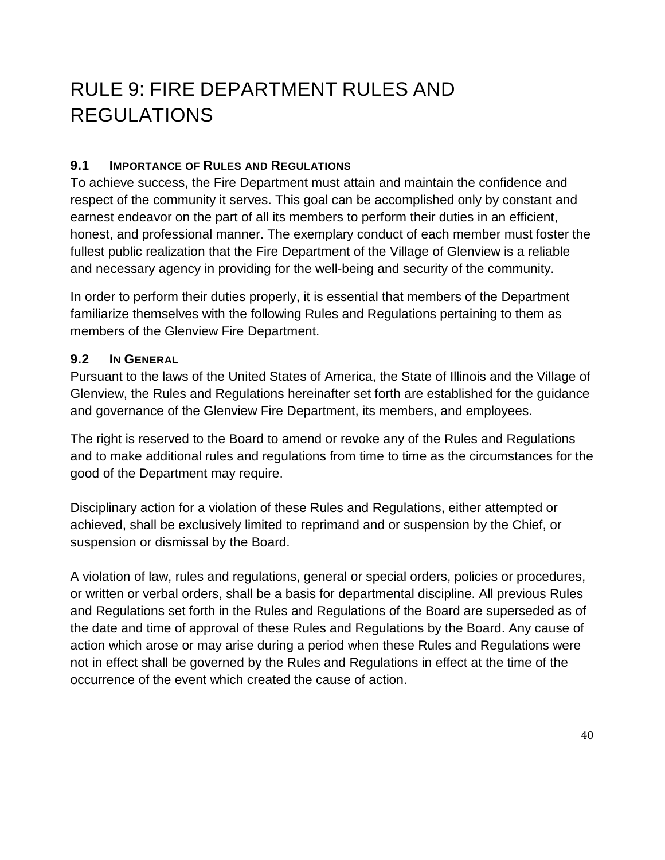# <span id="page-40-0"></span>RULE 9: FIRE DEPARTMENT RULES AND REGULATIONS

#### <span id="page-40-1"></span>**9.1 IMPORTANCE OF RULES AND REGULATIONS**

To achieve success, the Fire Department must attain and maintain the confidence and respect of the community it serves. This goal can be accomplished only by constant and earnest endeavor on the part of all its members to perform their duties in an efficient, honest, and professional manner. The exemplary conduct of each member must foster the fullest public realization that the Fire Department of the Village of Glenview is a reliable and necessary agency in providing for the well-being and security of the community.

In order to perform their duties properly, it is essential that members of the Department familiarize themselves with the following Rules and Regulations pertaining to them as members of the Glenview Fire Department.

#### <span id="page-40-2"></span>**9.2 IN GENERAL**

Pursuant to the laws of the United States of America, the State of Illinois and the Village of Glenview, the Rules and Regulations hereinafter set forth are established for the guidance and governance of the Glenview Fire Department, its members, and employees.

The right is reserved to the Board to amend or revoke any of the Rules and Regulations and to make additional rules and regulations from time to time as the circumstances for the good of the Department may require.

Disciplinary action for a violation of these Rules and Regulations, either attempted or achieved, shall be exclusively limited to reprimand and or suspension by the Chief, or suspension or dismissal by the Board.

A violation of law, rules and regulations, general or special orders, policies or procedures, or written or verbal orders, shall be a basis for departmental discipline. All previous Rules and Regulations set forth in the Rules and Regulations of the Board are superseded as of the date and time of approval of these Rules and Regulations by the Board. Any cause of action which arose or may arise during a period when these Rules and Regulations were not in effect shall be governed by the Rules and Regulations in effect at the time of the occurrence of the event which created the cause of action.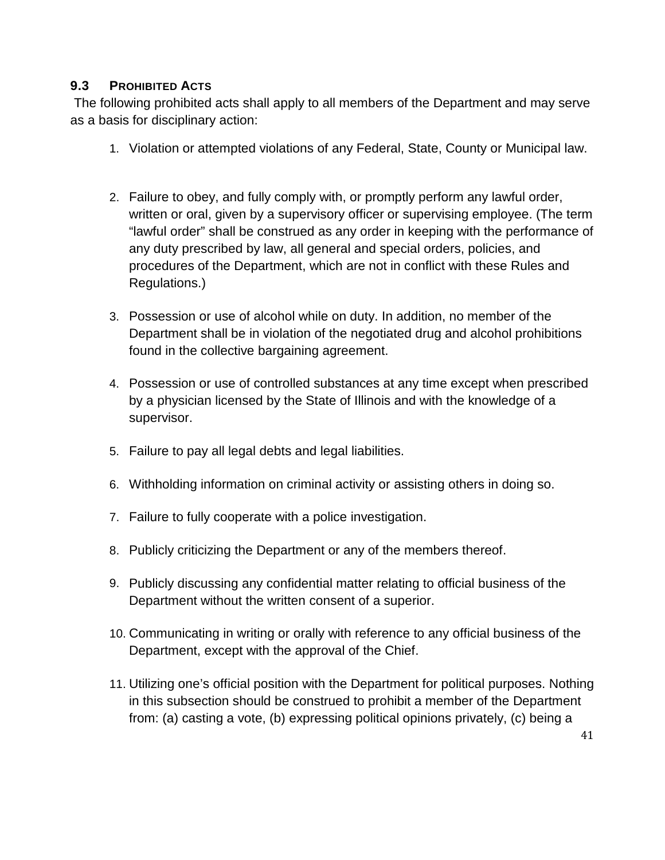#### <span id="page-41-0"></span>**9.3 PROHIBITED ACTS**

The following prohibited acts shall apply to all members of the Department and may serve as a basis for disciplinary action:

- 1. Violation or attempted violations of any Federal, State, County or Municipal law.
- 2. Failure to obey, and fully comply with, or promptly perform any lawful order, written or oral, given by a supervisory officer or supervising employee. (The term "lawful order" shall be construed as any order in keeping with the performance of any duty prescribed by law, all general and special orders, policies, and procedures of the Department, which are not in conflict with these Rules and Regulations.)
- 3. Possession or use of alcohol while on duty. In addition, no member of the Department shall be in violation of the negotiated drug and alcohol prohibitions found in the collective bargaining agreement.
- 4. Possession or use of controlled substances at any time except when prescribed by a physician licensed by the State of Illinois and with the knowledge of a supervisor.
- 5. Failure to pay all legal debts and legal liabilities.
- 6. Withholding information on criminal activity or assisting others in doing so.
- 7. Failure to fully cooperate with a police investigation.
- 8. Publicly criticizing the Department or any of the members thereof.
- 9. Publicly discussing any confidential matter relating to official business of the Department without the written consent of a superior.
- 10. Communicating in writing or orally with reference to any official business of the Department, except with the approval of the Chief.
- 11. Utilizing one's official position with the Department for political purposes. Nothing in this subsection should be construed to prohibit a member of the Department from: (a) casting a vote, (b) expressing political opinions privately, (c) being a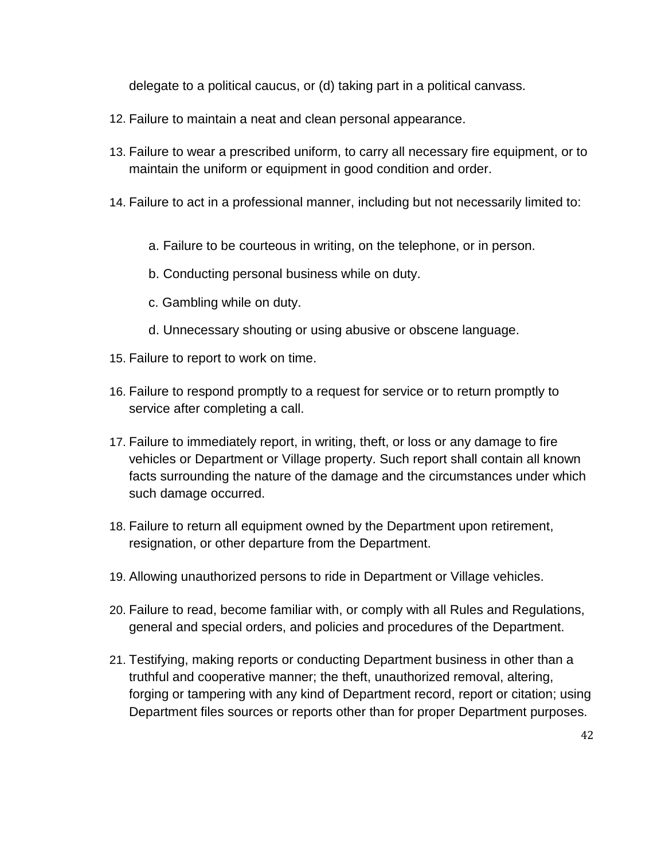delegate to a political caucus, or (d) taking part in a political canvass.

- 12. Failure to maintain a neat and clean personal appearance.
- 13. Failure to wear a prescribed uniform, to carry all necessary fire equipment, or to maintain the uniform or equipment in good condition and order.
- 14. Failure to act in a professional manner, including but not necessarily limited to:
	- a. Failure to be courteous in writing, on the telephone, or in person.
	- b. Conducting personal business while on duty.
	- c. Gambling while on duty.
	- d. Unnecessary shouting or using abusive or obscene language.
- 15. Failure to report to work on time.
- 16. Failure to respond promptly to a request for service or to return promptly to service after completing a call.
- 17. Failure to immediately report, in writing, theft, or loss or any damage to fire vehicles or Department or Village property. Such report shall contain all known facts surrounding the nature of the damage and the circumstances under which such damage occurred.
- 18. Failure to return all equipment owned by the Department upon retirement, resignation, or other departure from the Department.
- 19. Allowing unauthorized persons to ride in Department or Village vehicles.
- 20. Failure to read, become familiar with, or comply with all Rules and Regulations, general and special orders, and policies and procedures of the Department.
- 21. Testifying, making reports or conducting Department business in other than a truthful and cooperative manner; the theft, unauthorized removal, altering, forging or tampering with any kind of Department record, report or citation; using Department files sources or reports other than for proper Department purposes.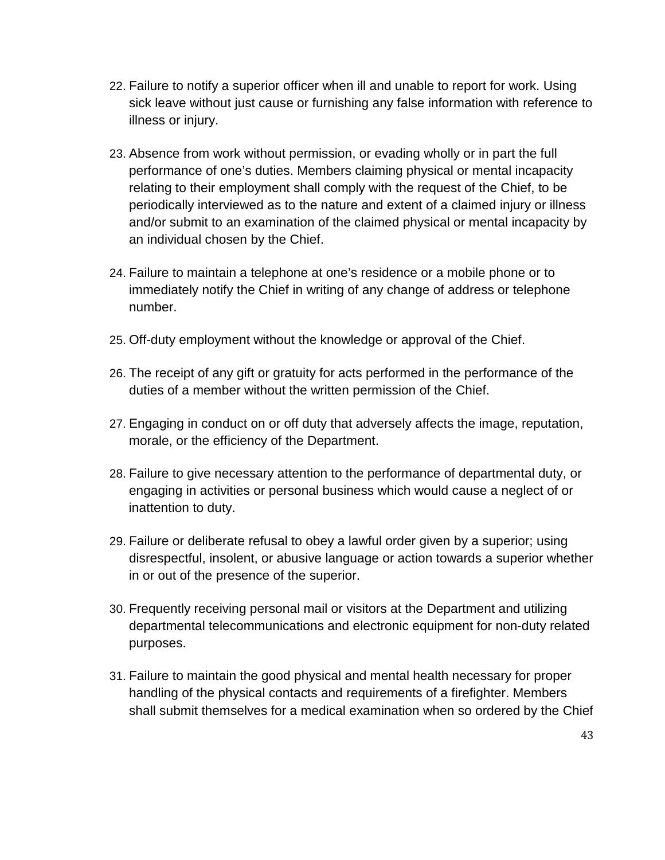- 22. Failure to notify a superior officer when ill and unable to report for work. Using sick leave without just cause or furnishing any false information with reference to illness or injury.
- 23. Absence from work without permission, or evading wholly or in part the full performance of one's duties. Members claiming physical or mental incapacity relating to their employment shall comply with the request of the Chief, to be periodically interviewed as to the nature and extent of a claimed injury or illness and/or submit to an examination of the claimed physical or mental incapacity by an individual chosen by the Chief.
- 24. Failure to maintain a telephone at one's residence or a mobile phone or to immediately notify the Chief in writing of any change of address or telephone number.
- 25. Off-duty employment without the knowledge or approval of the Chief.
- 26. The receipt of any gift or gratuity for acts performed in the performance of the duties of a member without the written permission of the Chief.
- 27. Engaging in conduct on or off duty that adversely affects the image, reputation, morale, or the efficiency of the Department.
- 28. Failure to give necessary attention to the performance of departmental duty, or engaging in activities or personal business which would cause a neglect of or inattention to duty.
- 29. Failure or deliberate refusal to obey a lawful order given by a superior; using disrespectful, insolent, or abusive language or action towards a superior whether in or out of the presence of the superior.
- 30. Frequently receiving personal mail or visitors at the Department and utilizing departmental telecommunications and electronic equipment for non-duty related purposes.
- 31. Failure to maintain the good physical and mental health necessary for proper handling of the physical contacts and requirements of a firefighter. Members shall submit themselves for a medical examination when so ordered by the Chief